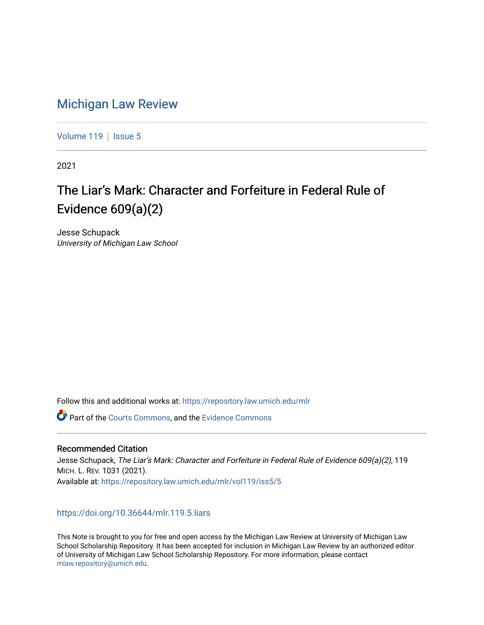# [Michigan Law Review](https://repository.law.umich.edu/mlr)

[Volume 119](https://repository.law.umich.edu/mlr/vol119) | [Issue 5](https://repository.law.umich.edu/mlr/vol119/iss5)

2021

# The Liar's Mark: Character and Forfeiture in Federal Rule of Evidence 609(a)(2)

Jesse Schupack University of Michigan Law School

Follow this and additional works at: [https://repository.law.umich.edu/mlr](https://repository.law.umich.edu/mlr?utm_source=repository.law.umich.edu%2Fmlr%2Fvol119%2Fiss5%2F5&utm_medium=PDF&utm_campaign=PDFCoverPages) 

**P** Part of the [Courts Commons,](http://network.bepress.com/hgg/discipline/839?utm_source=repository.law.umich.edu%2Fmlr%2Fvol119%2Fiss5%2F5&utm_medium=PDF&utm_campaign=PDFCoverPages) and the Evidence Commons

# Recommended Citation

Jesse Schupack, The Liar's Mark: Character and Forfeiture in Federal Rule of Evidence 609(a)(2), 119 MICH. L. REV. 1031 (2021). Available at: [https://repository.law.umich.edu/mlr/vol119/iss5/5](https://repository.law.umich.edu/mlr/vol119/iss5/5?utm_source=repository.law.umich.edu%2Fmlr%2Fvol119%2Fiss5%2F5&utm_medium=PDF&utm_campaign=PDFCoverPages) 

# <https://doi.org/10.36644/mlr.119.5.liars>

This Note is brought to you for free and open access by the Michigan Law Review at University of Michigan Law School Scholarship Repository. It has been accepted for inclusion in Michigan Law Review by an authorized editor of University of Michigan Law School Scholarship Repository. For more information, please contact [mlaw.repository@umich.edu.](mailto:mlaw.repository@umich.edu)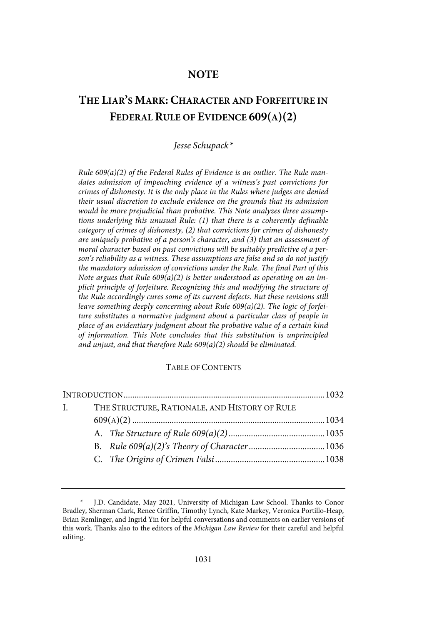# **NOTE**

# **THE LIAR'S MARK: CHARACTER AND FORFEITURE IN FEDERAL RULE OF EVIDENCE 609(A)(2)**

# Jesse Schupack\*

Rule 609(a)(2) of the Federal Rules of Evidence is an outlier. The Rule mandates admission of impeaching evidence of a witness's past convictions for crimes of dishonesty. It is the only place in the Rules where judges are denied their usual discretion to exclude evidence on the grounds that its admission would be more prejudicial than probative. This Note analyzes three assumptions underlying this unusual Rule: (1) that there is a coherently definable category of crimes of dishonesty, (2) that convictions for crimes of dishonesty are uniquely probative of a person's character, and (3) that an assessment of moral character based on past convictions will be suitably predictive of a person's reliability as a witness. These assumptions are false and so do not justify the mandatory admission of convictions under the Rule. The final Part of this Note argues that Rule  $609(a)(2)$  is better understood as operating on an implicit principle of forfeiture. Recognizing this and modifying the structure of the Rule accordingly cures some of its current defects. But these revisions still leave something deeply concerning about Rule 609(a)(2). The logic of forfeiture substitutes a normative judgment about a particular class of people in place of an evidentiary judgment about the probative value of a certain kind of information. This Note concludes that this substitution is unprincipled and unjust, and that therefore Rule  $609(a)(2)$  should be eliminated.

#### TABLE OF CONTENTS

| $\mathbf{L}$ | THE STRUCTURE, RATIONALE, AND HISTORY OF RULE |  |  |  |
|--------------|-----------------------------------------------|--|--|--|
|              |                                               |  |  |  |
|              |                                               |  |  |  |
|              |                                               |  |  |  |
|              |                                               |  |  |  |

J.D. Candidate, May 2021, University of Michigan Law School. Thanks to Conor Bradley, Sherman Clark, Renee Griffin, Timothy Lynch, Kate Markey, Veronica Portillo-Heap, Brian Remlinger, and Ingrid Yin for helpful conversations and comments on earlier versions of this work. Thanks also to the editors of the Michigan Law Review for their careful and helpful editing.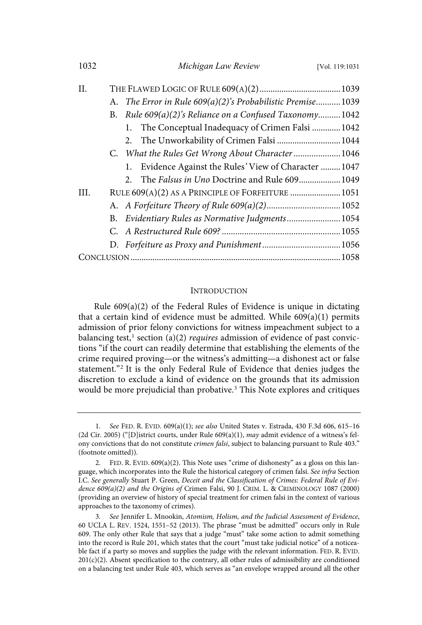| 1032 |    | Michigan Law Review                                        | [Vol. 119:1031] |
|------|----|------------------------------------------------------------|-----------------|
| H.   |    |                                                            |                 |
|      |    | A. The Error in Rule 609(a)(2)'s Probabilistic Premise1039 |                 |
|      | В. | Rule 609(a)(2)'s Reliance on a Confused Taxonomy1042       |                 |
|      |    | The Conceptual Inadequacy of Crimen Falsi  1042<br>1.      |                 |
|      |    | 2. The Unworkability of Crimen Falsi  1044                 |                 |
|      |    | C. What the Rules Get Wrong About Character  1046          |                 |
|      |    | Evidence Against the Rules' View of Character  1047<br>1.  |                 |
|      |    | 2. The Falsus in Uno Doctrine and Rule 609 1049            |                 |
| III. |    | RULE 609(A)(2) AS A PRINCIPLE OF FORFEITURE  1051          |                 |
|      |    |                                                            |                 |
|      | B. | Evidentiary Rules as Normative Judgments1054               |                 |
|      |    |                                                            |                 |
|      |    |                                                            |                 |
|      |    |                                                            |                 |

#### **INTRODUCTION**

Rule 609(a)(2) of the Federal Rules of Evidence is unique in dictating that a certain kind of evidence must be admitted. While 609(a)(1) permits admission of prior felony convictions for witness impeachment subject to a balancing test,<sup>1</sup> section (a)(2) *requires* admission of evidence of past convictions "if the court can readily determine that establishing the elements of the crime required proving—or the witness's admitting—a dishonest act or false statement." 2 It is the only Federal Rule of Evidence that denies judges the discretion to exclude a kind of evidence on the grounds that its admission would be more prejudicial than probative.<sup>3</sup> This Note explores and critiques

<sup>1</sup>. See FED. R. EVID. 609(a)(1); see also United States v. Estrada, 430 F.3d 606, 615–16 (2d Cir. 2005) ("[D]istrict courts, under Rule  $609(a)(1)$ , may admit evidence of a witness's felony convictions that do not constitute *crimen falsi*, subject to balancing pursuant to Rule 403." (footnote omitted)).

FED. R. EVID. 609(a)(2). This Note uses "crime of dishonesty" as a gloss on this language, which incorporates into the Rule the historical category of crimen falsi. See infra Section I.C. See generally Stuart P. Green, Deceit and the Classification of Crimes: Federal Rule of Evidence  $609(a)(2)$  and the Origins of Crimen Falsi, 90 J. CRIM. L. & CRIMINOLOGY 1087 (2000) (providing an overview of history of special treatment for crimen falsi in the context of various approaches to the taxonomy of crimes).

<sup>3</sup>. See Jennifer L. Mnookin, Atomism, Holism, and the Judicial Assessment of Evidence, 60 UCLA L. REV. 1524, 1551–52 (2013). The phrase "must be admitted" occurs only in Rule 609. The only other Rule that says that a judge "must" take some action to admit something into the record is Rule 201, which states that the court "must take judicial notice" of a noticeable fact if a party so moves and supplies the judge with the relevant information. FED. R. EVID.  $201(c)(2)$ . Absent specification to the contrary, all other rules of admissibility are conditioned on a balancing test under Rule 403, which serves as "an envelope wrapped around all the other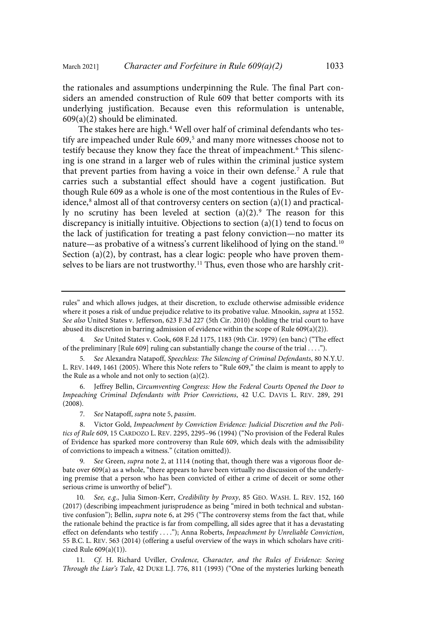the rationales and assumptions underpinning the Rule. The final Part considers an amended construction of Rule 609 that better comports with its underlying justification. Because even this reformulation is untenable, 609(a)(2) should be eliminated.

The stakes here are high. <sup>4</sup> Well over half of criminal defendants who testify are impeached under Rule 609,<sup>5</sup> and many more witnesses choose not to testify because they know they face the threat of impeachment.<sup>6</sup> This silencing is one strand in a larger web of rules within the criminal justice system that prevent parties from having a voice in their own defense.<sup>7</sup> A rule that carries such a substantial effect should have a cogent justification. But though Rule 609 as a whole is one of the most contentious in the Rules of Evidence, 8 almost all of that controversy centers on section (a)(1) and practically no scrutiny has been leveled at section (a)(2).<sup>9</sup> The reason for this discrepancy is initially intuitive. Objections to section (a)(1) tend to focus on the lack of justification for treating a past felony conviction—no matter its nature—as probative of a witness's current likelihood of lying on the stand. 10 Section (a)(2), by contrast, has a clear logic: people who have proven themselves to be liars are not trustworthy.<sup>11</sup> Thus, even those who are harshly crit-

9. See Green, supra note 2, at 1114 (noting that, though there was a vigorous floor debate over 609(a) as a whole, "there appears to have been virtually no discussion of the underlying premise that a person who has been convicted of either a crime of deceit or some other serious crime is unworthy of belief").

See, e.g., Julia Simon-Kerr, Credibility by Proxy, 85 GEO. WASH. L. REV. 152, 160 (2017) (describing impeachment jurisprudence as being "mired in both technical and substantive confusion"); Bellin, *supra* note 6, at 295 ("The controversy stems from the fact that, while the rationale behind the practice is far from compelling, all sides agree that it has a devastating effect on defendants who testify . . . ."); Anna Roberts, Impeachment by Unreliable Conviction, 55 B.C. L. REV. 563 (2014) (offering a useful overview of the ways in which scholars have criticized Rule 609(a)(1)).

11. Cf. H. Richard Uviller, Credence, Character, and the Rules of Evidence: Seeing Through the Liar's Tale, 42 DUKE L.J. 776, 811 (1993) ("One of the mysteries lurking beneath

rules" and which allows judges, at their discretion, to exclude otherwise admissible evidence where it poses a risk of undue prejudice relative to its probative value. Mnookin, supra at 1552. See also United States v. Jefferson, 623 F.3d 227 (5th Cir. 2010) (holding the trial court to have abused its discretion in barring admission of evidence within the scope of Rule 609(a)(2)).

<sup>4</sup>. See United States v. Cook, 608 F.2d 1175, 1183 (9th Cir. 1979) (en banc) ("The effect of the preliminary [Rule 609] ruling can substantially change the course of the trial . . . .").

<sup>5</sup>. See Alexandra Natapoff, Speechless: The Silencing of Criminal Defendants, 80 N.Y.U. L. REV. 1449, 1461 (2005). Where this Note refers to "Rule 609," the claim is meant to apply to the Rule as a whole and not only to section (a)(2).

<sup>6.</sup> Jeffrey Bellin, Circumventing Congress: How the Federal Courts Opened the Door to Impeaching Criminal Defendants with Prior Convictions, 42 U.C. DAVIS L. REV. 289, 291 (2008).

<sup>7</sup>. See Natapoff, supra note 5, passim.

<sup>8.</sup> Victor Gold, Impeachment by Conviction Evidence: Judicial Discretion and the Politics of Rule 609, 15 CARDOZO L. REV. 2295, 2295–96 (1994) ("No provision of the Federal Rules of Evidence has sparked more controversy than Rule 609, which deals with the admissibility of convictions to impeach a witness." (citation omitted)).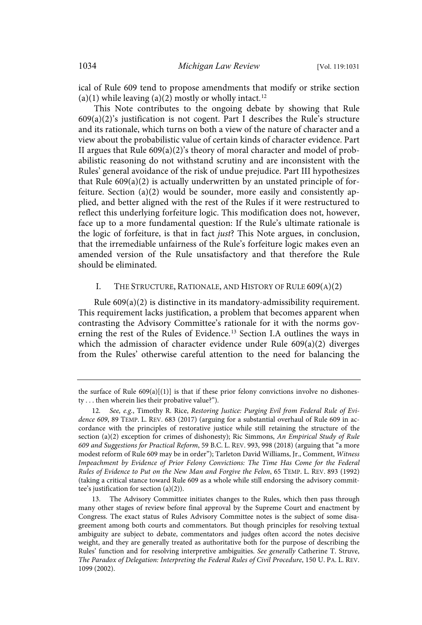ical of Rule 609 tend to propose amendments that modify or strike section (a)(1) while leaving (a)(2) mostly or wholly intact.<sup>12</sup>

This Note contributes to the ongoing debate by showing that Rule 609(a)(2)'s justification is not cogent. Part I describes the Rule's structure and its rationale, which turns on both a view of the nature of character and a view about the probabilistic value of certain kinds of character evidence. Part II argues that Rule 609(a)(2)'s theory of moral character and model of probabilistic reasoning do not withstand scrutiny and are inconsistent with the Rules' general avoidance of the risk of undue prejudice. Part III hypothesizes that Rule 609(a)(2) is actually underwritten by an unstated principle of forfeiture. Section (a)(2) would be sounder, more easily and consistently applied, and better aligned with the rest of the Rules if it were restructured to reflect this underlying forfeiture logic. This modification does not, however, face up to a more fundamental question: If the Rule's ultimate rationale is the logic of forfeiture, is that in fact just? This Note argues, in conclusion, that the irremediable unfairness of the Rule's forfeiture logic makes even an amended version of the Rule unsatisfactory and that therefore the Rule should be eliminated.

#### I. THE STRUCTURE, RATIONALE, AND HISTORY OF RULE 609(A)(2)

Rule 609(a)(2) is distinctive in its mandatory-admissibility requirement. This requirement lacks justification, a problem that becomes apparent when contrasting the Advisory Committee's rationale for it with the norms governing the rest of the Rules of Evidence. <sup>13</sup> Section I.A outlines the ways in which the admission of character evidence under Rule 609(a)(2) diverges from the Rules' otherwise careful attention to the need for balancing the

the surface of Rule  $609(a)[(1)]$  is that if these prior felony convictions involve no dishonesty . . . then wherein lies their probative value?").

<sup>12</sup>. See, e.g., Timothy R. Rice, Restoring Justice: Purging Evil from Federal Rule of Evidence 609, 89 TEMP. L. REV. 683 (2017) (arguing for a substantial overhaul of Rule 609 in accordance with the principles of restorative justice while still retaining the structure of the section (a)(2) exception for crimes of dishonesty); Ric Simmons, An Empirical Study of Rule 609 and Suggestions for Practical Reform, 59 B.C. L. REV. 993, 998 (2018) (arguing that "a more modest reform of Rule 609 may be in order"); Tarleton David Williams, Jr., Comment, Witness Impeachment by Evidence of Prior Felony Convictions: The Time Has Come for the Federal Rules of Evidence to Put on the New Man and Forgive the Felon, 65 TEMP. L. REV. 893 (1992) (taking a critical stance toward Rule 609 as a whole while still endorsing the advisory committee's justification for section (a)(2)).

<sup>13.</sup> The Advisory Committee initiates changes to the Rules, which then pass through many other stages of review before final approval by the Supreme Court and enactment by Congress. The exact status of Rules Advisory Committee notes is the subject of some disagreement among both courts and commentators. But though principles for resolving textual ambiguity are subject to debate, commentators and judges often accord the notes decisive weight, and they are generally treated as authoritative both for the purpose of describing the Rules' function and for resolving interpretive ambiguities. See generally Catherine T. Struve, The Paradox of Delegation: Interpreting the Federal Rules of Civil Procedure, 150 U. PA. L. REV. 1099 (2002).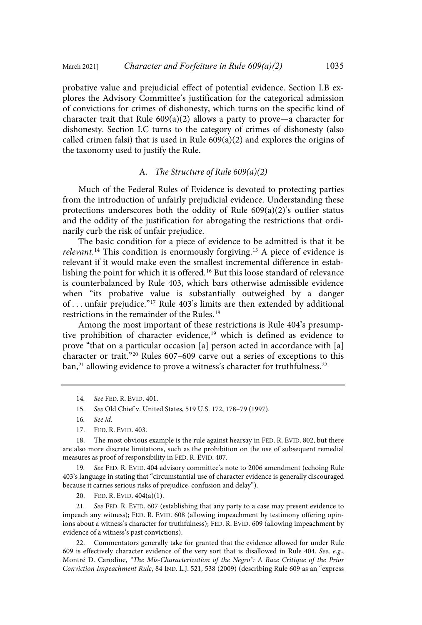probative value and prejudicial effect of potential evidence. Section I.B explores the Advisory Committee's justification for the categorical admission of convictions for crimes of dishonesty, which turns on the specific kind of character trait that Rule  $609(a)(2)$  allows a party to prove—a character for dishonesty. Section I.C turns to the category of crimes of dishonesty (also called crimen falsi) that is used in Rule  $609(a)(2)$  and explores the origins of the taxonomy used to justify the Rule.

# A. The Structure of Rule 609(a)(2)

Much of the Federal Rules of Evidence is devoted to protecting parties from the introduction of unfairly prejudicial evidence. Understanding these protections underscores both the oddity of Rule 609(a)(2)'s outlier status and the oddity of the justification for abrogating the restrictions that ordinarily curb the risk of unfair prejudice.

The basic condition for a piece of evidence to be admitted is that it be relevant.<sup>14</sup> This condition is enormously forgiving.<sup>15</sup> A piece of evidence is relevant if it would make even the smallest incremental difference in establishing the point for which it is offered.<sup>16</sup> But this loose standard of relevance is counterbalanced by Rule 403, which bars otherwise admissible evidence when "its probative value is substantially outweighed by a danger of . . . unfair prejudice."<sup>17</sup> Rule 403's limits are then extended by additional restrictions in the remainder of the Rules.<sup>18</sup>

Among the most important of these restrictions is Rule 404's presumptive prohibition of character evidence, <sup>19</sup> which is defined as evidence to prove "that on a particular occasion [a] person acted in accordance with [a] character or trait."<sup>20</sup> Rules 607–609 carve out a series of exceptions to this ban, $^\mathrm{21}$  allowing evidence to prove a witness's character for truthfulness. $^\mathrm{22}$ 

- 16. See id.
- 17. FED. R. EVID. 403.

18. The most obvious example is the rule against hearsay in FED. R. EVID. 802, but there are also more discrete limitations, such as the prohibition on the use of subsequent remedial measures as proof of responsibility in FED. R. EVID. 407.

19. See FED. R. EVID. 404 advisory committee's note to 2006 amendment (echoing Rule 403's language in stating that "circumstantial use of character evidence is generally discouraged because it carries serious risks of prejudice, confusion and delay").

20. FED. R. EVID. 404(a)(1).

21. See FED. R. EVID. 607 (establishing that any party to a case may present evidence to impeach any witness); FED. R. EVID. 608 (allowing impeachment by testimony offering opinions about a witness's character for truthfulness); FED. R. EVID. 609 (allowing impeachment by evidence of a witness's past convictions).

22. Commentators generally take for granted that the evidence allowed for under Rule 609 is effectively character evidence of the very sort that is disallowed in Rule 404. See, e.g., Montré D. Carodine, "The Mis-Characterization of the Negro": A Race Critique of the Prior Conviction Impeachment Rule, 84 IND. L.J. 521, 538 (2009) (describing Rule 609 as an "express

<sup>14</sup>. See FED. R. EVID. 401.

<sup>15</sup>. See Old Chief v. United States, 519 U.S. 172, 178–79 (1997).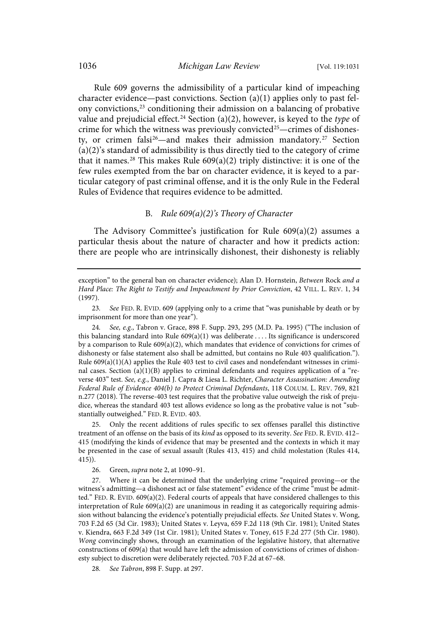Rule 609 governs the admissibility of a particular kind of impeaching character evidence—past convictions. Section (a)(1) applies only to past felony convictions,<sup>23</sup> conditioning their admission on a balancing of probative value and prejudicial effect.<sup>24</sup> Section (a)(2), however, is keyed to the type of crime for which the witness was previously convicted <sup>25</sup>—crimes of dishonesty, or crimen falsi<sup>26</sup>—and makes their admission mandatory.<sup>27</sup> Section (a)(2)'s standard of admissibility is thus directly tied to the category of crime that it names.<sup>28</sup> This makes Rule  $609(a)(2)$  triply distinctive: it is one of the few rules exempted from the bar on character evidence, it is keyed to a particular category of past criminal offense, and it is the only Rule in the Federal Rules of Evidence that requires evidence to be admitted.

## B. Rule 609(a)(2)'s Theory of Character

The Advisory Committee's justification for Rule 609(a)(2) assumes a particular thesis about the nature of character and how it predicts action: there are people who are intrinsically dishonest, their dishonesty is reliably

24. See, e.g., Tabron v. Grace, 898 F. Supp. 293, 295 (M.D. Pa. 1995) ("The inclusion of this balancing standard into Rule 609(a)(1) was deliberate . . . . Its significance is underscored by a comparison to Rule  $609(a)(2)$ , which mandates that evidence of convictions for crimes of dishonesty or false statement also shall be admitted, but contains no Rule 403 qualification."). Rule  $609(a)(1)(A)$  applies the Rule 403 test to civil cases and nondefendant witnesses in criminal cases. Section (a)(1)(B) applies to criminal defendants and requires application of a "reverse 403" test. See, e.g., Daniel J. Capra & Liesa L. Richter, Character Assassination: Amending Federal Rule of Evidence 404(b) to Protect Criminal Defendants, 118 COLUM. L. REV. 769, 821 n.277 (2018). The reverse-403 test requires that the probative value outweigh the risk of prejudice, whereas the standard 403 test allows evidence so long as the probative value is not "substantially outweighed." FED. R. EVID. 403.

25. Only the recent additions of rules specific to sex offenses parallel this distinctive treatment of an offense on the basis of its kind as opposed to its severity. See FED. R. EVID. 412– 415 (modifying the kinds of evidence that may be presented and the contexts in which it may be presented in the case of sexual assault (Rules 413, 415) and child molestation (Rules 414, 415)).

26. Green, supra note 2, at 1090–91.

27. Where it can be determined that the underlying crime "required proving—or the witness's admitting—a dishonest act or false statement" evidence of the crime "must be admitted." FED. R. EVID. 609(a)(2). Federal courts of appeals that have considered challenges to this interpretation of Rule  $609(a)(2)$  are unanimous in reading it as categorically requiring admission without balancing the evidence's potentially prejudicial effects. See United States v. Wong, 703 F.2d 65 (3d Cir. 1983); United States v. Leyva, 659 F.2d 118 (9th Cir. 1981); United States v. Kiendra, 663 F.2d 349 (1st Cir. 1981); United States v. Toney, 615 F.2d 277 (5th Cir. 1980). Wong convincingly shows, through an examination of the legislative history, that alternative constructions of 609(a) that would have left the admission of convictions of crimes of dishonesty subject to discretion were deliberately rejected. 703 F.2d at 67–68.

28. See Tabron, 898 F. Supp. at 297.

exception" to the general ban on character evidence); Alan D. Hornstein, Between Rock and a Hard Place: The Right to Testify and Impeachment by Prior Conviction, 42 VILL. L. REV. 1, 34 (1997).

<sup>23</sup>. See FED. R. EVID. 609 (applying only to a crime that "was punishable by death or by imprisonment for more than one year").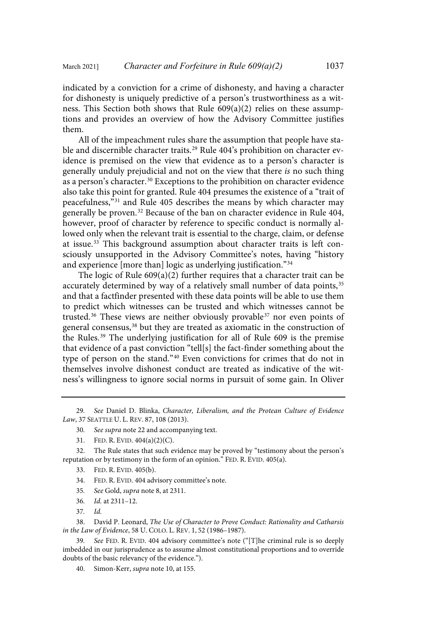indicated by a conviction for a crime of dishonesty, and having a character for dishonesty is uniquely predictive of a person's trustworthiness as a witness. This Section both shows that Rule 609(a)(2) relies on these assumptions and provides an overview of how the Advisory Committee justifies them.

All of the impeachment rules share the assumption that people have stable and discernible character traits.<sup>29</sup> Rule 404's prohibition on character evidence is premised on the view that evidence as to a person's character is generally unduly prejudicial and not on the view that there is no such thing as a person's character.<sup>30</sup> Exceptions to the prohibition on character evidence also take this point for granted. Rule 404 presumes the existence of a "trait of peacefulness,"<sup>31</sup> and Rule 405 describes the means by which character may generally be proven.<sup>32</sup> Because of the ban on character evidence in Rule 404, however, proof of character by reference to specific conduct is normally allowed only when the relevant trait is essential to the charge, claim, or defense at issue.<sup>33</sup> This background assumption about character traits is left consciously unsupported in the Advisory Committee's notes, having "history and experience [more than] logic as underlying justification."<sup>34</sup>

The logic of Rule  $609(a)(2)$  further requires that a character trait can be accurately determined by way of a relatively small number of data points, 35 and that a factfinder presented with these data points will be able to use them to predict which witnesses can be trusted and which witnesses cannot be trusted. <sup>36</sup> These views are neither obviously provable <sup>37</sup> nor even points of general consensus,<sup>38</sup> but they are treated as axiomatic in the construction of the Rules.<sup>39</sup> The underlying justification for all of Rule 609 is the premise that evidence of a past conviction "tell[s] the fact-finder something about the type of person on the stand." <sup>40</sup> Even convictions for crimes that do not in themselves involve dishonest conduct are treated as indicative of the witness's willingness to ignore social norms in pursuit of some gain. In Oliver

29. See Daniel D. Blinka, Character, Liberalism, and the Protean Culture of Evidence Law, 37 SEATTLE U. L. REV. 87, 108 (2013).

- 30. See supra note 22 and accompanying text.
- 31. FED. R. EVID. 404(a)(2)(C).

32. The Rule states that such evidence may be proved by "testimony about the person's reputation or by testimony in the form of an opinion." FED. R. EVID. 405(a).

- 33. FED. R. EVID. 405(b).
- 34. FED. R. EVID. 404 advisory committee's note.
- 35. See Gold, supra note 8, at 2311.
- 36. Id. at 2311–12.
- 37. Id.

38. David P. Leonard, The Use of Character to Prove Conduct: Rationality and Catharsis in the Law of Evidence, 58 U. COLO. L. REV. 1, 52 (1986–1987).

See FED. R. EVID. 404 advisory committee's note ("[T]he criminal rule is so deeply imbedded in our jurisprudence as to assume almost constitutional proportions and to override doubts of the basic relevancy of the evidence.").

40. Simon-Kerr, supra note 10, at 155.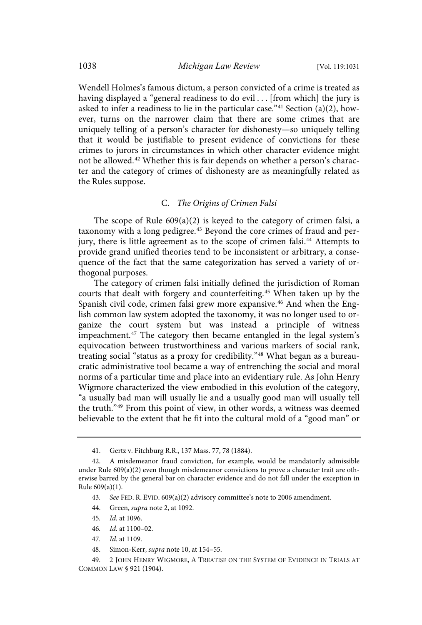Wendell Holmes's famous dictum, a person convicted of a crime is treated as having displayed a "general readiness to do evil . . . [from which] the jury is asked to infer a readiness to lie in the particular case."<sup>41</sup> Section (a)(2), however, turns on the narrower claim that there are some crimes that are uniquely telling of a person's character for dishonesty—so uniquely telling that it would be justifiable to present evidence of convictions for these crimes to jurors in circumstances in which other character evidence might not be allowed.<sup>42</sup> Whether this is fair depends on whether a person's character and the category of crimes of dishonesty are as meaningfully related as the Rules suppose.

# C. The Origins of Crimen Falsi

The scope of Rule 609(a)(2) is keyed to the category of crimen falsi, a taxonomy with a long pedigree.<sup>43</sup> Beyond the core crimes of fraud and perjury, there is little agreement as to the scope of crimen falsi.<sup>44</sup> Attempts to provide grand unified theories tend to be inconsistent or arbitrary, a consequence of the fact that the same categorization has served a variety of orthogonal purposes.

The category of crimen falsi initially defined the jurisdiction of Roman courts that dealt with forgery and counterfeiting.<sup>45</sup> When taken up by the Spanish civil code, crimen falsi grew more expansive.<sup>46</sup> And when the English common law system adopted the taxonomy, it was no longer used to organize the court system but was instead a principle of witness impeachment. <sup>47</sup> The category then became entangled in the legal system's equivocation between trustworthiness and various markers of social rank, treating social "status as a proxy for credibility." <sup>48</sup> What began as a bureaucratic administrative tool became a way of entrenching the social and moral norms of a particular time and place into an evidentiary rule. As John Henry Wigmore characterized the view embodied in this evolution of the category, "a usually bad man will usually lie and a usually good man will usually tell the truth." <sup>49</sup> From this point of view, in other words, a witness was deemed believable to the extent that he fit into the cultural mold of a "good man" or

- 44. Green, supra note 2, at 1092.
- 45. Id. at 1096.
- 46. Id. at 1100–02.
- 47. Id. at 1109.
- 48. Simon-Kerr, supra note 10, at 154–55.

<sup>41.</sup> Gertz v. Fitchburg R.R., 137 Mass. 77, 78 (1884).

<sup>42.</sup> A misdemeanor fraud conviction, for example, would be mandatorily admissible under Rule  $609(a)(2)$  even though misdemeanor convictions to prove a character trait are otherwise barred by the general bar on character evidence and do not fall under the exception in Rule 609(a)(1).

<sup>43</sup>. See FED. R. EVID. 609(a)(2) advisory committee's note to 2006 amendment.

<sup>49.</sup> 2 JOHN HENRY WIGMORE, A TREATISE ON THE SYSTEM OF EVIDENCE IN TRIALS AT COMMON LAW § 921 (1904).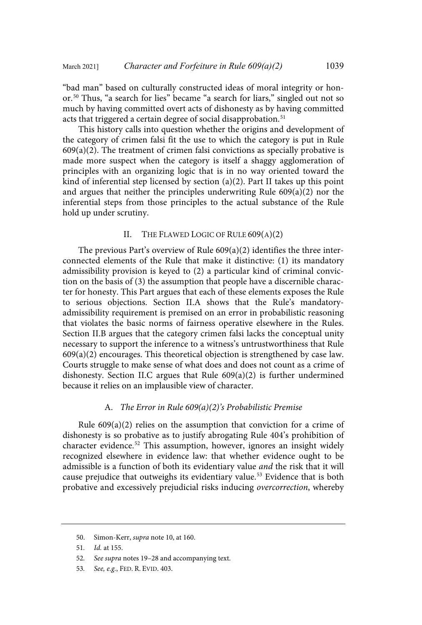"bad man" based on culturally constructed ideas of moral integrity or honor. <sup>50</sup> Thus, "a search for lies" became "a search for liars," singled out not so much by having committed overt acts of dishonesty as by having committed acts that triggered a certain degree of social disapprobation.<sup>51</sup>

This history calls into question whether the origins and development of the category of crimen falsi fit the use to which the category is put in Rule  $609(a)(2)$ . The treatment of crimen falsi convictions as specially probative is made more suspect when the category is itself a shaggy agglomeration of principles with an organizing logic that is in no way oriented toward the kind of inferential step licensed by section (a)(2). Part II takes up this point and argues that neither the principles underwriting Rule 609(a)(2) nor the inferential steps from those principles to the actual substance of the Rule hold up under scrutiny.

# II. THE FLAWED LOGIC OF RULE 609(A)(2)

The previous Part's overview of Rule 609(a)(2) identifies the three interconnected elements of the Rule that make it distinctive: (1) its mandatory admissibility provision is keyed to (2) a particular kind of criminal conviction on the basis of (3) the assumption that people have a discernible character for honesty. This Part argues that each of these elements exposes the Rule to serious objections. Section II.A shows that the Rule's mandatoryadmissibility requirement is premised on an error in probabilistic reasoning that violates the basic norms of fairness operative elsewhere in the Rules. Section II.B argues that the category crimen falsi lacks the conceptual unity necessary to support the inference to a witness's untrustworthiness that Rule  $609(a)(2)$  encourages. This theoretical objection is strengthened by case law. Courts struggle to make sense of what does and does not count as a crime of dishonesty. Section II.C argues that Rule 609(a)(2) is further undermined because it relies on an implausible view of character.

#### A. The Error in Rule  $609(a)(2)$ 's Probabilistic Premise

Rule  $609(a)(2)$  relies on the assumption that conviction for a crime of dishonesty is so probative as to justify abrogating Rule 404's prohibition of character evidence. <sup>52</sup> This assumption, however, ignores an insight widely recognized elsewhere in evidence law: that whether evidence ought to be admissible is a function of both its evidentiary value and the risk that it will cause prejudice that outweighs its evidentiary value. <sup>53</sup> Evidence that is both probative and excessively prejudicial risks inducing overcorrection, whereby

53. See, e.g., FED. R. EVID. 403.

<sup>50.</sup> Simon-Kerr, supra note 10, at 160.

<sup>51</sup>. Id. at 155.

<sup>52</sup>. See supra notes 19–28 and accompanying text.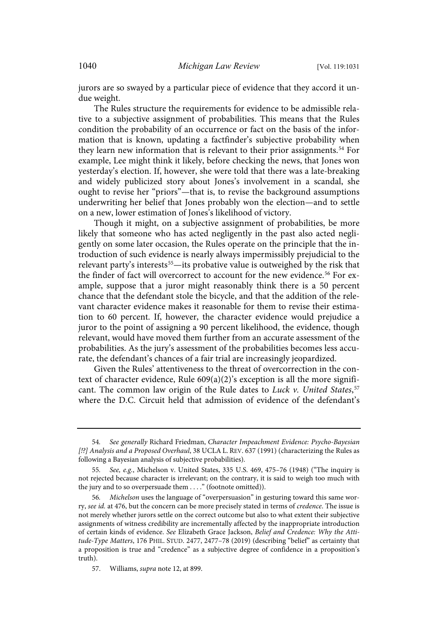jurors are so swayed by a particular piece of evidence that they accord it undue weight.

The Rules structure the requirements for evidence to be admissible relative to a subjective assignment of probabilities. This means that the Rules condition the probability of an occurrence or fact on the basis of the information that is known, updating a factfinder's subjective probability when they learn new information that is relevant to their prior assignments.<sup>54</sup> For example, Lee might think it likely, before checking the news, that Jones won yesterday's election. If, however, she were told that there was a late-breaking and widely publicized story about Jones's involvement in a scandal, she ought to revise her "priors"—that is, to revise the background assumptions underwriting her belief that Jones probably won the election—and to settle on a new, lower estimation of Jones's likelihood of victory.

Though it might, on a subjective assignment of probabilities, be more likely that someone who has acted negligently in the past also acted negligently on some later occasion, the Rules operate on the principle that the introduction of such evidence is nearly always impermissibly prejudicial to the relevant party's interests<sup>55</sup>—its probative value is outweighed by the risk that the finder of fact will overcorrect to account for the new evidence. <sup>56</sup> For example, suppose that a juror might reasonably think there is a 50 percent chance that the defendant stole the bicycle, and that the addition of the relevant character evidence makes it reasonable for them to revise their estimation to 60 percent. If, however, the character evidence would prejudice a juror to the point of assigning a 90 percent likelihood, the evidence, though relevant, would have moved them further from an accurate assessment of the probabilities. As the jury's assessment of the probabilities becomes less accurate, the defendant's chances of a fair trial are increasingly jeopardized.

Given the Rules' attentiveness to the threat of overcorrection in the context of character evidence, Rule 609(a)(2)'s exception is all the more significant. The common law origin of the Rule dates to Luck v. United States,<sup>57</sup> where the D.C. Circuit held that admission of evidence of the defendant's

<sup>54</sup>. See generally Richard Friedman, Character Impeachment Evidence: Psycho-Bayesian [!?] Analysis and a Proposed Overhaul, 38 UCLA L. REV. 637 (1991) (characterizing the Rules as following a Bayesian analysis of subjective probabilities).

<sup>55</sup>. See, e.g., Michelson v. United States, 335 U.S. 469, 475–76 (1948) ("The inquiry is not rejected because character is irrelevant; on the contrary, it is said to weigh too much with the jury and to so overpersuade them . . . ." (footnote omitted)).

<sup>56</sup>. Michelson uses the language of "overpersuasion" in gesturing toward this same worry, see id. at 476, but the concern can be more precisely stated in terms of credence. The issue is not merely whether jurors settle on the correct outcome but also to what extent their subjective assignments of witness credibility are incrementally affected by the inappropriate introduction of certain kinds of evidence. See Elizabeth Grace Jackson, Belief and Credence: Why the Attitude-Type Matters, 176 PHIL. STUD. 2477, 2477–78 (2019) (describing "belief" as certainty that a proposition is true and "credence" as a subjective degree of confidence in a proposition's truth).

<sup>57.</sup> Williams, supra note 12, at 899.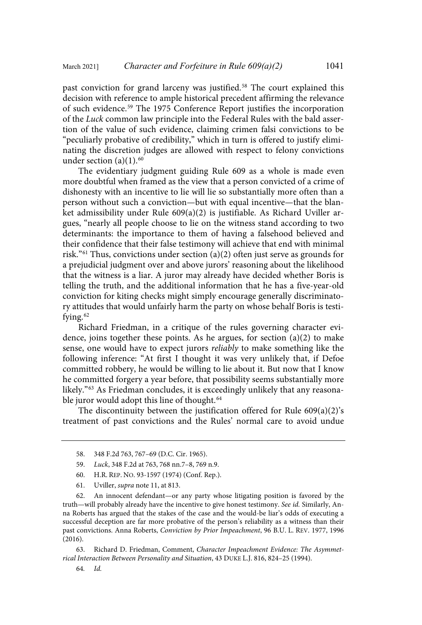past conviction for grand larceny was justified.<sup>58</sup> The court explained this decision with reference to ample historical precedent affirming the relevance of such evidence. <sup>59</sup> The 1975 Conference Report justifies the incorporation of the Luck common law principle into the Federal Rules with the bald assertion of the value of such evidence, claiming crimen falsi convictions to be "peculiarly probative of credibility," which in turn is offered to justify eliminating the discretion judges are allowed with respect to felony convictions under section  $(a)(1).<sup>60</sup>$ 

The evidentiary judgment guiding Rule 609 as a whole is made even more doubtful when framed as the view that a person convicted of a crime of dishonesty with an incentive to lie will lie so substantially more often than a person without such a conviction—but with equal incentive—that the blanket admissibility under Rule 609(a)(2) is justifiable. As Richard Uviller argues, "nearly all people choose to lie on the witness stand according to two determinants: the importance to them of having a falsehood believed and their confidence that their false testimony will achieve that end with minimal risk."<sup>61</sup> Thus, convictions under section (a)(2) often just serve as grounds for a prejudicial judgment over and above jurors' reasoning about the likelihood that the witness is a liar. A juror may already have decided whether Boris is telling the truth, and the additional information that he has a five-year-old conviction for kiting checks might simply encourage generally discriminatory attitudes that would unfairly harm the party on whose behalf Boris is testifying.<sup>62</sup>

Richard Friedman, in a critique of the rules governing character evidence, joins together these points. As he argues, for section  $(a)(2)$  to make sense, one would have to expect jurors reliably to make something like the following inference: "At first I thought it was very unlikely that, if Defoe committed robbery, he would be willing to lie about it. But now that I know he committed forgery a year before, that possibility seems substantially more likely." <sup>63</sup> As Friedman concludes, it is exceedingly unlikely that any reasonable juror would adopt this line of thought.<sup>64</sup>

The discontinuity between the justification offered for Rule 609(a)(2)'s treatment of past convictions and the Rules' normal care to avoid undue

- 60. H.R. REP. NO. 93-1597 (1974) (Conf. Rep.).
- 61. Uviller, supra note 11, at 813.

62. An innocent defendant—or any party whose litigating position is favored by the truth—will probably already have the incentive to give honest testimony. See id. Similarly, Anna Roberts has argued that the stakes of the case and the would-be liar's odds of executing a successful deception are far more probative of the person's reliability as a witness than their past convictions. Anna Roberts, Conviction by Prior Impeachment, 96 B.U. L. REV. 1977, 1996 (2016).

63. Richard D. Friedman, Comment, Character Impeachment Evidence: The Asymmetrical Interaction Between Personality and Situation, 43 DUKE L.J. 816, 824–25 (1994).

64. Id.

<sup>58.</sup> 348 F.2d 763, 767–69 (D.C. Cir. 1965).

<sup>59.</sup> Luck, 348 F.2d at 763, 768 nn.7–8, 769 n.9.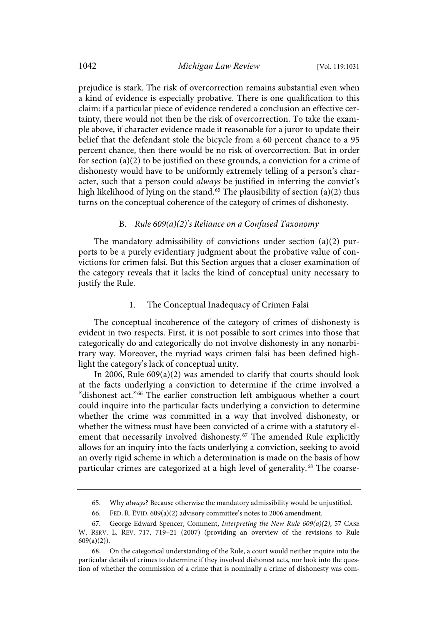prejudice is stark. The risk of overcorrection remains substantial even when a kind of evidence is especially probative. There is one qualification to this claim: if a particular piece of evidence rendered a conclusion an effective certainty, there would not then be the risk of overcorrection. To take the example above, if character evidence made it reasonable for a juror to update their belief that the defendant stole the bicycle from a 60 percent chance to a 95 percent chance, then there would be no risk of overcorrection. But in order for section (a)(2) to be justified on these grounds, a conviction for a crime of dishonesty would have to be uniformly extremely telling of a person's character, such that a person could always be justified in inferring the convict's high likelihood of lying on the stand. <sup>65</sup> The plausibility of section (a)(2) thus turns on the conceptual coherence of the category of crimes of dishonesty.

#### B. Rule  $609(a)(2)$ 's Reliance on a Confused Taxonomy

The mandatory admissibility of convictions under section (a)(2) purports to be a purely evidentiary judgment about the probative value of convictions for crimen falsi. But this Section argues that a closer examination of the category reveals that it lacks the kind of conceptual unity necessary to justify the Rule.

#### 1. The Conceptual Inadequacy of Crimen Falsi

The conceptual incoherence of the category of crimes of dishonesty is evident in two respects. First, it is not possible to sort crimes into those that categorically do and categorically do not involve dishonesty in any nonarbitrary way. Moreover, the myriad ways crimen falsi has been defined highlight the category's lack of conceptual unity.

In 2006, Rule 609(a)(2) was amended to clarify that courts should look at the facts underlying a conviction to determine if the crime involved a "dishonest act." <sup>66</sup> The earlier construction left ambiguous whether a court could inquire into the particular facts underlying a conviction to determine whether the crime was committed in a way that involved dishonesty, or whether the witness must have been convicted of a crime with a statutory element that necessarily involved dishonesty.<sup>67</sup> The amended Rule explicitly allows for an inquiry into the facts underlying a conviction, seeking to avoid an overly rigid scheme in which a determination is made on the basis of how particular crimes are categorized at a high level of generality.<sup>68</sup> The coarse-

<sup>65.</sup> Why always? Because otherwise the mandatory admissibility would be unjustified.

<sup>66.</sup> FED. R. EVID. 609(a)(2) advisory committee's notes to 2006 amendment.

<sup>67.</sup> George Edward Spencer, Comment, Interpreting the New Rule 609(a)(2), 57 CASE W. RSRV. L. REV. 717, 719–21 (2007) (providing an overview of the revisions to Rule  $609(a)(2)$ ).

<sup>68.</sup> On the categorical understanding of the Rule, a court would neither inquire into the particular details of crimes to determine if they involved dishonest acts, nor look into the question of whether the commission of a crime that is nominally a crime of dishonesty was com-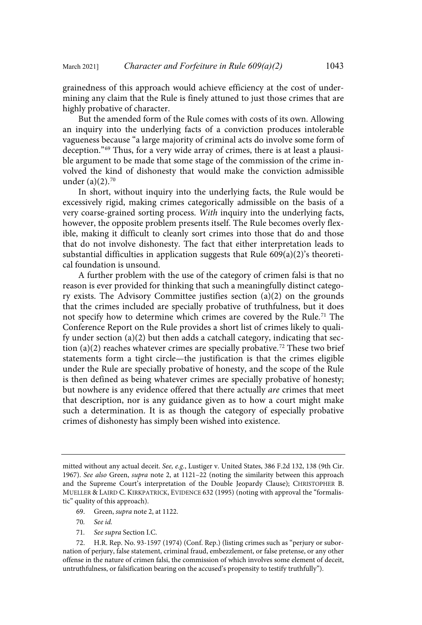grainedness of this approach would achieve efficiency at the cost of undermining any claim that the Rule is finely attuned to just those crimes that are highly probative of character.

But the amended form of the Rule comes with costs of its own. Allowing an inquiry into the underlying facts of a conviction produces intolerable vagueness because "a large majority of criminal acts do involve some form of deception."<sup>69</sup> Thus, for a very wide array of crimes, there is at least a plausible argument to be made that some stage of the commission of the crime involved the kind of dishonesty that would make the conviction admissible under (a)(2). 70

In short, without inquiry into the underlying facts, the Rule would be excessively rigid, making crimes categorically admissible on the basis of a very coarse-grained sorting process. With inquiry into the underlying facts, however, the opposite problem presents itself. The Rule becomes overly flexible, making it difficult to cleanly sort crimes into those that do and those that do not involve dishonesty. The fact that either interpretation leads to substantial difficulties in application suggests that Rule 609(a)(2)'s theoretical foundation is unsound.

A further problem with the use of the category of crimen falsi is that no reason is ever provided for thinking that such a meaningfully distinct category exists. The Advisory Committee justifies section (a)(2) on the grounds that the crimes included are specially probative of truthfulness, but it does not specify how to determine which crimes are covered by the Rule. <sup>71</sup> The Conference Report on the Rule provides a short list of crimes likely to qualify under section (a)(2) but then adds a catchall category, indicating that section (a)(2) reaches whatever crimes are specially probative.<sup>72</sup> These two brief statements form a tight circle—the justification is that the crimes eligible under the Rule are specially probative of honesty, and the scope of the Rule is then defined as being whatever crimes are specially probative of honesty; but nowhere is any evidence offered that there actually are crimes that meet that description, nor is any guidance given as to how a court might make such a determination. It is as though the category of especially probative crimes of dishonesty has simply been wished into existence.

- 69. Green, supra note 2, at 1122.
- 70. See id.
- 71. See supra Section I.C.

mitted without any actual deceit. See, e.g., Lustiger v. United States, 386 F.2d 132, 138 (9th Cir. 1967). See also Green, supra note 2, at 1121–22 (noting the similarity between this approach and the Supreme Court's interpretation of the Double Jeopardy Clause); CHRISTOPHER B. MUELLER & LAIRD C. KIRKPATRICK, EVIDENCE 632 (1995) (noting with approval the "formalistic" quality of this approach).

<sup>72.</sup> H.R. Rep. No. 93-1597 (1974) (Conf. Rep.) (listing crimes such as "perjury or subornation of perjury, false statement, criminal fraud, embezzlement, or false pretense, or any other offense in the nature of crimen falsi, the commission of which involves some element of deceit, untruthfulness, or falsification bearing on the accused's propensity to testify truthfully").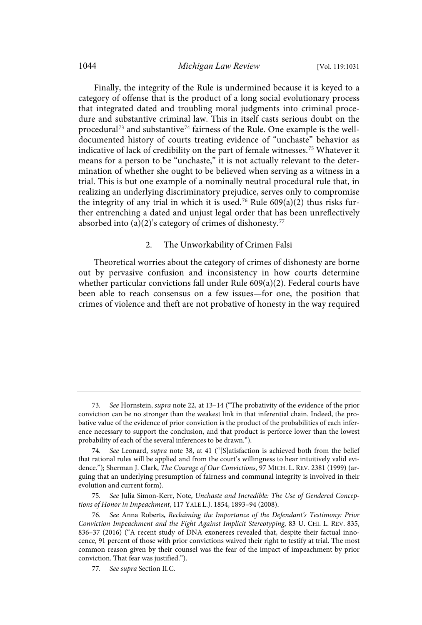Finally, the integrity of the Rule is undermined because it is keyed to a category of offense that is the product of a long social evolutionary process that integrated dated and troubling moral judgments into criminal procedure and substantive criminal law. This in itself casts serious doubt on the procedural <sup>73</sup> and substantive <sup>74</sup> fairness of the Rule. One example is the welldocumented history of courts treating evidence of "unchaste" behavior as indicative of lack of credibility on the part of female witnesses.<sup>75</sup> Whatever it means for a person to be "unchaste," it is not actually relevant to the determination of whether she ought to be believed when serving as a witness in a trial. This is but one example of a nominally neutral procedural rule that, in realizing an underlying discriminatory prejudice, serves only to compromise the integrity of any trial in which it is used.<sup>76</sup> Rule  $609(a)(2)$  thus risks further entrenching a dated and unjust legal order that has been unreflectively absorbed into (a)(2)'s category of crimes of dishonesty.<sup>77</sup>

#### 2. The Unworkability of Crimen Falsi

Theoretical worries about the category of crimes of dishonesty are borne out by pervasive confusion and inconsistency in how courts determine whether particular convictions fall under Rule 609(a)(2). Federal courts have been able to reach consensus on a few issues—for one, the position that crimes of violence and theft are not probative of honesty in the way required

<sup>73</sup>. See Hornstein, supra note 22, at 13–14 ("The probativity of the evidence of the prior conviction can be no stronger than the weakest link in that inferential chain. Indeed, the probative value of the evidence of prior conviction is the product of the probabilities of each inference necessary to support the conclusion, and that product is perforce lower than the lowest probability of each of the several inferences to be drawn.").

<sup>74</sup>. See Leonard, supra note 38, at 41 ("[S]atisfaction is achieved both from the belief that rational rules will be applied and from the court's willingness to hear intuitively valid evidence."); Sherman J. Clark, The Courage of Our Convictions, 97 MICH. L. REV. 2381 (1999) (arguing that an underlying presumption of fairness and communal integrity is involved in their evolution and current form).

See Julia Simon-Kerr, Note, Unchaste and Incredible: The Use of Gendered Conceptions of Honor in Impeachment, 117 YALE L.J. 1854, 1893–94 (2008).

<sup>76</sup>. See Anna Roberts, Reclaiming the Importance of the Defendant's Testimony: Prior Conviction Impeachment and the Fight Against Implicit Stereotyping, 83 U. CHI. L. REV. 835, 836–37 (2016) ("A recent study of DNA exonerees revealed that, despite their factual innocence, 91 percent of those with prior convictions waived their right to testify at trial. The most common reason given by their counsel was the fear of the impact of impeachment by prior conviction. That fear was justified.").

<sup>77</sup>. See supra Section II.C.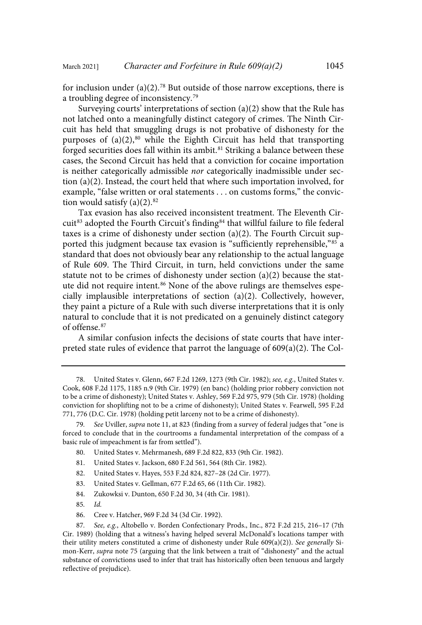for inclusion under (a)(2). <sup>78</sup> But outside of those narrow exceptions, there is a troubling degree of inconsistency. 79

Surveying courts' interpretations of section (a)(2) show that the Rule has not latched onto a meaningfully distinct category of crimes. The Ninth Circuit has held that smuggling drugs is not probative of dishonesty for the purposes of (a)(2), <sup>80</sup> while the Eighth Circuit has held that transporting forged securities does fall within its ambit.<sup>81</sup> Striking a balance between these cases, the Second Circuit has held that a conviction for cocaine importation is neither categorically admissible nor categorically inadmissible under section (a)(2). Instead, the court held that where such importation involved, for example, "false written or oral statements . . . on customs forms," the conviction would satisfy  $(a)(2).$ <sup>82</sup>

Tax evasion has also received inconsistent treatment. The Eleventh Circuit<sup>83</sup> adopted the Fourth Circuit's finding<sup>84</sup> that willful failure to file federal taxes is a crime of dishonesty under section (a)(2). The Fourth Circuit supported this judgment because tax evasion is "sufficiently reprehensible," <sup>85</sup> a standard that does not obviously bear any relationship to the actual language of Rule 609. The Third Circuit, in turn, held convictions under the same statute not to be crimes of dishonesty under section (a)(2) because the statute did not require intent.<sup>86</sup> None of the above rulings are themselves especially implausible interpretations of section (a)(2). Collectively, however, they paint a picture of a Rule with such diverse interpretations that it is only natural to conclude that it is not predicated on a genuinely distinct category of offense.<sup>87</sup>

A similar confusion infects the decisions of state courts that have interpreted state rules of evidence that parrot the language of 609(a)(2). The Col-

- 80. United States v. Mehrmanesh, 689 F.2d 822, 833 (9th Cir. 1982).
- 81. United States v. Jackson, 680 F.2d 561, 564 (8th Cir. 1982).
- 82. United States v. Hayes, 553 F.2d 824, 827–28 (2d Cir. 1977).
- 83. United States v. Gellman, 677 F.2d 65, 66 (11th Cir. 1982).
- 84. Zukowksi v. Dunton, 650 F.2d 30, 34 (4th Cir. 1981).
- 85. Id.
- 86. Cree v. Hatcher, 969 F.2d 34 (3d Cir. 1992).

87. See, e.g., Altobello v. Borden Confectionary Prods., Inc., 872 F.2d 215, 216–17 (7th Cir. 1989) (holding that a witness's having helped several McDonald's locations tamper with their utility meters constituted a crime of dishonesty under Rule  $609(a)(2)$ ). See generally Simon-Kerr, supra note 75 (arguing that the link between a trait of "dishonesty" and the actual substance of convictions used to infer that trait has historically often been tenuous and largely reflective of prejudice).

<sup>78.</sup> United States v. Glenn, 667 F.2d 1269, 1273 (9th Cir. 1982); see, e.g., United States v. Cook, 608 F.2d 1175, 1185 n.9 (9th Cir. 1979) (en banc) (holding prior robbery conviction not to be a crime of dishonesty); United States v. Ashley, 569 F.2d 975, 979 (5th Cir. 1978) (holding conviction for shoplifting not to be a crime of dishonesty); United States v. Fearwell, 595 F.2d 771, 776 (D.C. Cir. 1978) (holding petit larceny not to be a crime of dishonesty).

<sup>79.</sup> See Uviller, supra note 11, at 823 (finding from a survey of federal judges that "one is forced to conclude that in the courtrooms a fundamental interpretation of the compass of a basic rule of impeachment is far from settled").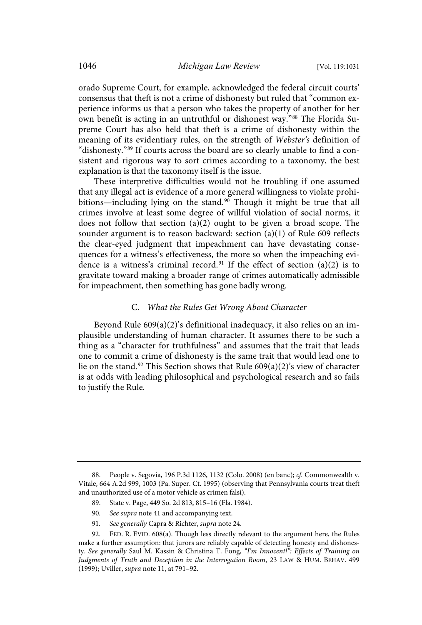orado Supreme Court, for example, acknowledged the federal circuit courts' consensus that theft is not a crime of dishonesty but ruled that "common experience informs us that a person who takes the property of another for her own benefit is acting in an untruthful or dishonest way."<sup>88</sup> The Florida Supreme Court has also held that theft is a crime of dishonesty within the meaning of its evidentiary rules, on the strength of Webster's definition of "dishonesty." <sup>89</sup> If courts across the board are so clearly unable to find a consistent and rigorous way to sort crimes according to a taxonomy, the best explanation is that the taxonomy itself is the issue.

These interpretive difficulties would not be troubling if one assumed that any illegal act is evidence of a more general willingness to violate prohibitions—including lying on the stand. <sup>90</sup> Though it might be true that all crimes involve at least some degree of willful violation of social norms, it does not follow that section  $(a)(2)$  ought to be given a broad scope. The sounder argument is to reason backward: section (a)(1) of Rule 609 reflects the clear-eyed judgment that impeachment can have devastating consequences for a witness's effectiveness, the more so when the impeaching evidence is a witness's criminal record.<sup>91</sup> If the effect of section  $(a)(2)$  is to gravitate toward making a broader range of crimes automatically admissible for impeachment, then something has gone badly wrong.

#### C. What the Rules Get Wrong About Character

Beyond Rule 609(a)(2)'s definitional inadequacy, it also relies on an implausible understanding of human character. It assumes there to be such a thing as a "character for truthfulness" and assumes that the trait that leads one to commit a crime of dishonesty is the same trait that would lead one to lie on the stand.<sup>92</sup> This Section shows that Rule  $609(a)(2)$ 's view of character is at odds with leading philosophical and psychological research and so fails to justify the Rule.

- 89. State v. Page, 449 So. 2d 813, 815–16 (Fla. 1984).
- 90. See supra note 41 and accompanying text.
- 91. See generally Capra & Richter, supra note 24.

<sup>88.</sup> People v. Segovia, 196 P.3d 1126, 1132 (Colo. 2008) (en banc); cf. Commonwealth v. Vitale, 664 A.2d 999, 1003 (Pa. Super. Ct. 1995) (observing that Pennsylvania courts treat theft and unauthorized use of a motor vehicle as crimen falsi).

<sup>92.</sup> FED. R. EVID. 608(a). Though less directly relevant to the argument here, the Rules make a further assumption: that jurors are reliably capable of detecting honesty and dishonesty. See generally Saul M. Kassin & Christina T. Fong, "I'm Innocent!": Effects of Training on Judgments of Truth and Deception in the Interrogation Room, 23 LAW & HUM. BEHAV. 499 (1999); Uviller, supra note 11, at 791–92.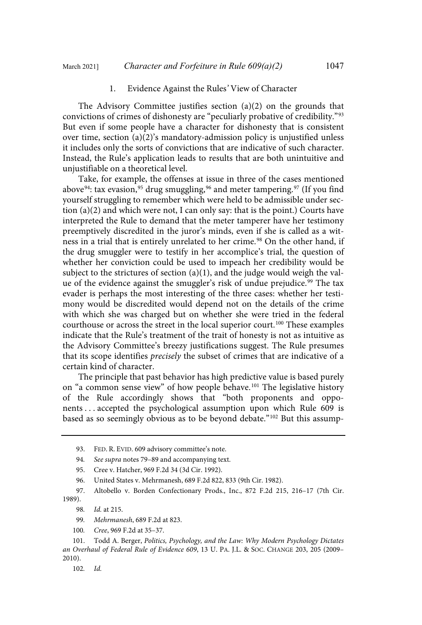#### 1. Evidence Against the Rules' View of Character

The Advisory Committee justifies section (a)(2) on the grounds that convictions of crimes of dishonesty are "peculiarly probative of credibility." 93 But even if some people have a character for dishonesty that is consistent over time, section  $(a)(2)$ 's mandatory-admission policy is unjustified unless it includes only the sorts of convictions that are indicative of such character. Instead, the Rule's application leads to results that are both unintuitive and unjustifiable on a theoretical level.

Take, for example, the offenses at issue in three of the cases mentioned above<sup>94</sup>: tax evasion,<sup>95</sup> drug smuggling,<sup>96</sup> and meter tampering.<sup>97</sup> (If you find yourself struggling to remember which were held to be admissible under section  $(a)(2)$  and which were not, I can only say: that is the point.) Courts have interpreted the Rule to demand that the meter tamperer have her testimony preemptively discredited in the juror's minds, even if she is called as a witness in a trial that is entirely unrelated to her crime.<sup>98</sup> On the other hand, if the drug smuggler were to testify in her accomplice's trial, the question of whether her conviction could be used to impeach her credibility would be subject to the strictures of section  $(a)(1)$ , and the judge would weigh the value of the evidence against the smuggler's risk of undue prejudice. <sup>99</sup> The tax evader is perhaps the most interesting of the three cases: whether her testimony would be discredited would depend not on the details of the crime with which she was charged but on whether she were tried in the federal courthouse or across the street in the local superior court. <sup>100</sup> These examples indicate that the Rule's treatment of the trait of honesty is not as intuitive as the Advisory Committee's breezy justifications suggest. The Rule presumes that its scope identifies precisely the subset of crimes that are indicative of a certain kind of character.

The principle that past behavior has high predictive value is based purely on "a common sense view" of how people behave. <sup>101</sup> The legislative history of the Rule accordingly shows that "both proponents and opponents . . . accepted the psychological assumption upon which Rule 609 is based as so seemingly obvious as to be beyond debate." <sup>102</sup> But this assump-

94. See supra notes 79–89 and accompanying text.

97. Altobello v. Borden Confectionary Prods., Inc., 872 F.2d 215, 216–17 (7th Cir. 1989).

98. Id. at 215.

100. Cree, 969 F.2d at 35–37.

101. Todd A. Berger, Politics, Psychology, and the Law: Why Modern Psychology Dictates an Overhaul of Federal Rule of Evidence 609, 13 U. PA. J.L. & SOC. CHANGE 203, 205 (2009– 2010).

102. Id.

<sup>93.</sup> FED. R. EVID. 609 advisory committee's note.

<sup>95.</sup> Cree v. Hatcher, 969 F.2d 34 (3d Cir. 1992).

<sup>96.</sup> United States v. Mehrmanesh, 689 F.2d 822, 833 (9th Cir. 1982).

<sup>99</sup>. Mehrmanesh, 689 F.2d at 823.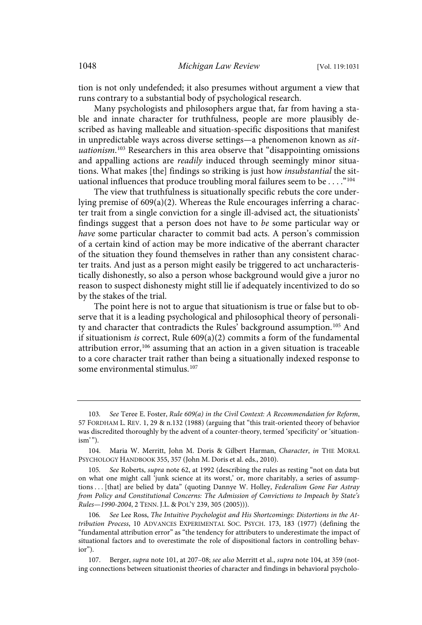tion is not only undefended; it also presumes without argument a view that runs contrary to a substantial body of psychological research.

Many psychologists and philosophers argue that, far from having a stable and innate character for truthfulness, people are more plausibly described as having malleable and situation-specific dispositions that manifest in unpredictable ways across diverse settings—a phenomenon known as situationism.<sup>103</sup> Researchers in this area observe that "disappointing omissions and appalling actions are readily induced through seemingly minor situations. What makes [the] findings so striking is just how insubstantial the situational influences that produce troubling moral failures seem to be . . . . "<sup>104</sup>

The view that truthfulness is situationally specific rebuts the core underlying premise of 609(a)(2). Whereas the Rule encourages inferring a character trait from a single conviction for a single ill-advised act, the situationists' findings suggest that a person does not have to be some particular way or have some particular character to commit bad acts. A person's commission of a certain kind of action may be more indicative of the aberrant character of the situation they found themselves in rather than any consistent character traits. And just as a person might easily be triggered to act uncharacteristically dishonestly, so also a person whose background would give a juror no reason to suspect dishonesty might still lie if adequately incentivized to do so by the stakes of the trial.

The point here is not to argue that situationism is true or false but to observe that it is a leading psychological and philosophical theory of personality and character that contradicts the Rules' background assumption.<sup>105</sup> And if situationism is correct, Rule 609(a)(2) commits a form of the fundamental attribution error,<sup>106</sup> assuming that an action in a given situation is traceable to a core character trait rather than being a situationally indexed response to some environmental stimulus.<sup>107</sup>

<sup>103</sup>. See Teree E. Foster, Rule 609(a) in the Civil Context: A Recommendation for Reform, 57 FORDHAM L. REV. 1, 29 & n.132 (1988) (arguing that "this trait-oriented theory of behavior was discredited thoroughly by the advent of a counter-theory, termed 'specificity' or 'situation- $\lim$ ").

<sup>104.</sup> Maria W. Merritt, John M. Doris & Gilbert Harman, Character, in THE MORAL PSYCHOLOGY HANDBOOK 355, 357 (John M. Doris et al. eds., 2010).

<sup>105</sup>. See Roberts, supra note 62, at 1992 (describing the rules as resting "not on data but on what one might call 'junk science at its worst,' or, more charitably, a series of assumptions . . . [that] are belied by data" (quoting Dannye W. Holley, Federalism Gone Far Astray from Policy and Constitutional Concerns: The Admission of Convictions to Impeach by State's Rules—1990-2004, 2 TENN. J.L. & POL'Y 239, 305 (2005))).

<sup>106</sup>. See Lee Ross, The Intuitive Psychologist and His Shortcomings: Distortions in the Attribution Process, 10 ADVANCES EXPERIMENTAL SOC. PSYCH. 173, 183 (1977) (defining the "fundamental attribution error" as "the tendency for attributers to underestimate the impact of situational factors and to overestimate the role of dispositional factors in controlling behavior").

<sup>107.</sup> Berger, supra note 101, at 207–08; see also Merritt et al., supra note 104, at 359 (noting connections between situationist theories of character and findings in behavioral psycholo-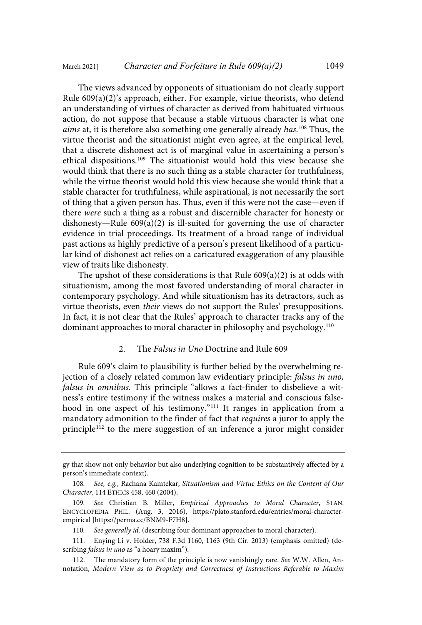The views advanced by opponents of situationism do not clearly support Rule 609(a)(2)'s approach, either. For example, virtue theorists, who defend an understanding of virtues of character as derived from habituated virtuous action, do not suppose that because a stable virtuous character is what one aims at, it is therefore also something one generally already has.<sup>108</sup> Thus, the virtue theorist and the situationist might even agree, at the empirical level, that a discrete dishonest act is of marginal value in ascertaining a person's ethical dispositions.<sup>109</sup> The situationist would hold this view because she would think that there is no such thing as a stable character for truthfulness, while the virtue theorist would hold this view because she would think that a stable character for truthfulness, while aspirational, is not necessarily the sort of thing that a given person has. Thus, even if this were not the case—even if there were such a thing as a robust and discernible character for honesty or dishonesty—Rule 609(a)(2) is ill-suited for governing the use of character evidence in trial proceedings. Its treatment of a broad range of individual past actions as highly predictive of a person's present likelihood of a particular kind of dishonest act relies on a caricatured exaggeration of any plausible view of traits like dishonesty.

The upshot of these considerations is that Rule  $609(a)(2)$  is at odds with situationism, among the most favored understanding of moral character in contemporary psychology. And while situationism has its detractors, such as virtue theorists, even their views do not support the Rules' presuppositions. In fact, it is not clear that the Rules' approach to character tracks any of the dominant approaches to moral character in philosophy and psychology.<sup>110</sup>

#### 2. The Falsus in Uno Doctrine and Rule 609

Rule 609's claim to plausibility is further belied by the overwhelming rejection of a closely related common law evidentiary principle: falsus in uno, falsus in omnibus. This principle "allows a fact-finder to disbelieve a witness's entire testimony if the witness makes a material and conscious falsehood in one aspect of his testimony." <sup>111</sup> It ranges in application from a mandatory admonition to the finder of fact that requires a juror to apply the principle <sup>112</sup> to the mere suggestion of an inference a juror might consider

gy that show not only behavior but also underlying cognition to be substantively affected by a person's immediate context).

<sup>108</sup>. See, e.g., Rachana Kamtekar, Situationism and Virtue Ethics on the Content of Our Character, 114 ETHICS 458, 460 (2004).

<sup>109</sup>. See Christian B. Miller, Empirical Approaches to Moral Character, STAN. ENCYCLOPEDIA PHIL. (Aug. 3, 2016), [https://plato.stanford.edu/entries/moral-character](https://plato.stanford.edu/entries/moral-character-empirical)empirical [\[ht](https://plato.stanford.edu/entries/moral-character-empirical)[tps://perma.cc/BNM9-F7H8\].](https://perma.cc/BNM9-F7H8])

<sup>110.</sup> See generally id. (describing four dominant approaches to moral character).

<sup>111.</sup> Enying Li v. Holder, 738 F.3d 1160, 1163 (9th Cir. 2013) (emphasis omitted) (describing *falsus in uno* as "a hoary maxim").

<sup>112.</sup> The mandatory form of the principle is now vanishingly rare. See W.W. Allen, Annotation, Modern View as to Propriety and Correctness of Instructions Referable to Maxim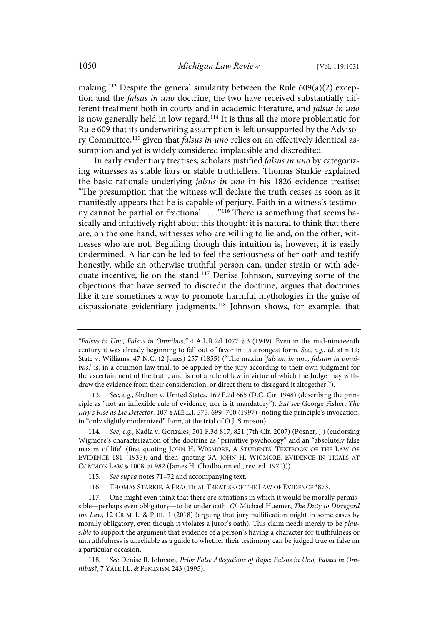making.<sup>113</sup> Despite the general similarity between the Rule  $609(a)(2)$  exception and the falsus in uno doctrine, the two have received substantially different treatment both in courts and in academic literature, and falsus in uno is now generally held in low regard. <sup>114</sup> It is thus all the more problematic for Rule 609 that its underwriting assumption is left unsupported by the Advisory Committee,<sup>115</sup> given that *falsus in uno* relies on an effectively identical assumption and yet is widely considered implausible and discredited.

In early evidentiary treatises, scholars justified falsus in uno by categorizing witnesses as stable liars or stable truthtellers. Thomas Starkie explained the basic rationale underlying falsus in uno in his 1826 evidence treatise: "The presumption that the witness will declare the truth ceases as soon as it manifestly appears that he is capable of perjury. Faith in a witness's testimony cannot be partial or fractional . . . . "<sup>116</sup> There is something that seems basically and intuitively right about this thought: it is natural to think that there are, on the one hand, witnesses who are willing to lie and, on the other, witnesses who are not. Beguiling though this intuition is, however, it is easily undermined. A liar can be led to feel the seriousness of her oath and testify honestly, while an otherwise truthful person can, under strain or with adequate incentive, lie on the stand.<sup>117</sup> Denise Johnson, surveying some of the objections that have served to discredit the doctrine, argues that doctrines like it are sometimes a way to promote harmful mythologies in the guise of dispassionate evidentiary judgments.<sup>118</sup> Johnson shows, for example, that

114. See, e.g., Kadia v. Gonzales, 501 F.3d 817, 821 (7th Cir. 2007) (Posner, J.) (endorsing Wigmore's characterization of the doctrine as "primitive psychology" and an "absolutely false maxim of life" (first quoting JOHN H. WIGMORE, A STUDENTS' TEXTBOOK OF THE LAW OF EVIDENCE 181 (1935); and then quoting 3A JOHN H. WIGMORE, EVIDENCE IN TRIALS AT COMMON LAW § 1008, at 982 (James H. Chadbourn ed., rev. ed. 1970))).

- 115. See supra notes 71–72 and accompanying text.
- 116. THOMAS STARKIE, A PRACTICAL TREATISE OF THE LAW OF EVIDENCE \*873.

117. One might even think that there are situations in which it would be morally permissible—perhaps even obligatory—to lie under oath. Cf. Michael Huemer, The Duty to Disregard the Law, 12 CRIM. L. & PHIL. 1 (2018) (arguing that jury nullification might in some cases by morally obligatory, even though it violates a juror's oath). This claim needs merely to be plausible to support the argument that evidence of a person's having a character for truthfulness or untruthfulness is unreliable as a guide to whether their testimony can be judged true or false on a particular occasion.

118. See Denise R. Johnson, Prior False Allegations of Rape: Falsus in Uno, Falsus in Omnibus?, 7 YALE J.L. & FEMINISM 243 (1995).

<sup>&</sup>quot;Falsus in Uno, Falsus in Omnibus," 4 A.L.R.2d 1077 § 3 (1949). Even in the mid-nineteenth century it was already beginning to fall out of favor in its strongest form. See, e.g., id. at n.11; State v. Williams, 47 N.C. (2 Jones) 257 (1855) ("The maxim 'falsum in uno, falsum in omnibus,' is, in a common law trial, to be applied by the jury according to their own judgment for the ascertainment of the truth, and is not a rule of law in virtue of which the Judge may withdraw the evidence from their consideration, or direct them to disregard it altogether.").

<sup>113</sup>. See, e.g., Shelton v. United States, 169 F.2d 665 (D.C. Cir. 1948) (describing the principle as "not an inflexible rule of evidence, nor is it mandatory"). But see George Fisher, The Jury's Rise as Lie Detector, 107 YALE L.J. 575, 699–700 (1997) (noting the principle's invocation, in "only slightly modernized" form, at the trial of O.J. Simpson).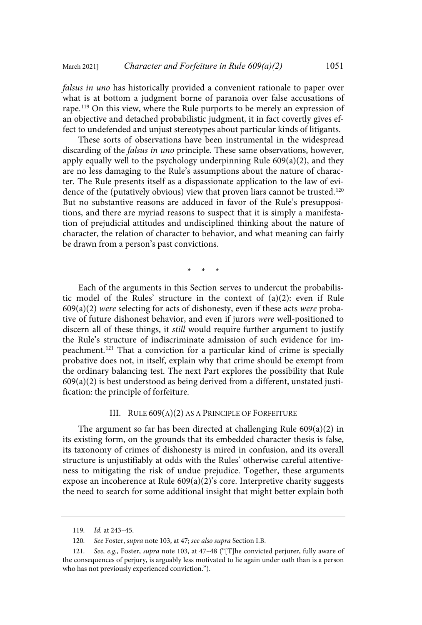falsus in uno has historically provided a convenient rationale to paper over what is at bottom a judgment borne of paranoia over false accusations of rape. <sup>119</sup> On this view, where the Rule purports to be merely an expression of an objective and detached probabilistic judgment, it in fact covertly gives effect to undefended and unjust stereotypes about particular kinds of litigants.

These sorts of observations have been instrumental in the widespread discarding of the falsus in uno principle. These same observations, however, apply equally well to the psychology underpinning Rule  $609(a)(2)$ , and they are no less damaging to the Rule's assumptions about the nature of character. The Rule presents itself as a dispassionate application to the law of evidence of the (putatively obvious) view that proven liars cannot be trusted.<sup>120</sup> But no substantive reasons are adduced in favor of the Rule's presuppositions, and there are myriad reasons to suspect that it is simply a manifestation of prejudicial attitudes and undisciplined thinking about the nature of character, the relation of character to behavior, and what meaning can fairly be drawn from a person's past convictions.

\* \* \*

Each of the arguments in this Section serves to undercut the probabilistic model of the Rules' structure in the context of (a)(2): even if Rule  $609(a)(2)$  were selecting for acts of dishonesty, even if these acts were probative of future dishonest behavior, and even if jurors were well-positioned to discern all of these things, it still would require further argument to justify the Rule's structure of indiscriminate admission of such evidence for impeachment.<sup>121</sup> That a conviction for a particular kind of crime is specially probative does not, in itself, explain why that crime should be exempt from the ordinary balancing test. The next Part explores the possibility that Rule  $609(a)(2)$  is best understood as being derived from a different, unstated justification: the principle of forfeiture.

# III. RULE 609(A)(2) AS A PRINCIPLE OF FORFEITURE

The argument so far has been directed at challenging Rule 609(a)(2) in its existing form, on the grounds that its embedded character thesis is false, its taxonomy of crimes of dishonesty is mired in confusion, and its overall structure is unjustifiably at odds with the Rules' otherwise careful attentiveness to mitigating the risk of undue prejudice. Together, these arguments expose an incoherence at Rule 609(a)(2)'s core. Interpretive charity suggests the need to search for some additional insight that might better explain both

<sup>119</sup>. Id. at 243–45.

<sup>120</sup>. See Foster, supra note 103, at 47; see also supra Section I.B.

<sup>121</sup>. See, e.g., Foster, supra note 103, at 47–48 ("[T]he convicted perjurer, fully aware of the consequences of perjury, is arguably less motivated to lie again under oath than is a person who has not previously experienced conviction.").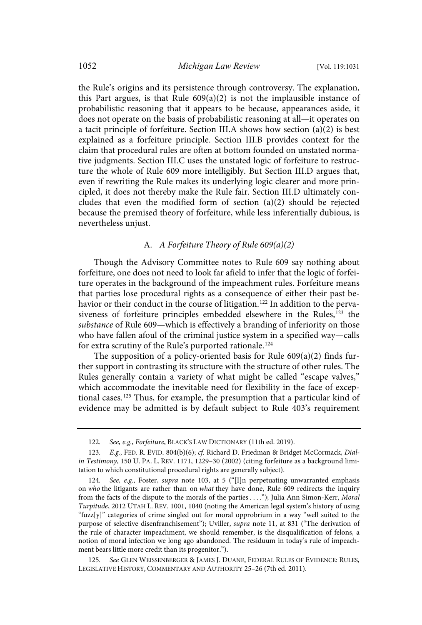the Rule's origins and its persistence through controversy. The explanation, this Part argues, is that Rule  $609(a)(2)$  is not the implausible instance of probabilistic reasoning that it appears to be because, appearances aside, it does not operate on the basis of probabilistic reasoning at all—it operates on a tacit principle of forfeiture. Section III.A shows how section (a)(2) is best explained as a forfeiture principle. Section III.B provides context for the claim that procedural rules are often at bottom founded on unstated normative judgments. Section III.C uses the unstated logic of forfeiture to restructure the whole of Rule 609 more intelligibly. But Section III.D argues that, even if rewriting the Rule makes its underlying logic clearer and more principled, it does not thereby make the Rule fair. Section III.D ultimately concludes that even the modified form of section (a)(2) should be rejected because the premised theory of forfeiture, while less inferentially dubious, is nevertheless unjust.

# A. A Forfeiture Theory of Rule 609(a)(2)

Though the Advisory Committee notes to Rule 609 say nothing about forfeiture, one does not need to look far afield to infer that the logic of forfeiture operates in the background of the impeachment rules. Forfeiture means that parties lose procedural rights as a consequence of either their past behavior or their conduct in the course of litigation.<sup>122</sup> In addition to the pervasiveness of forfeiture principles embedded elsewhere in the Rules,<sup>123</sup> the substance of Rule 609—which is effectively a branding of inferiority on those who have fallen afoul of the criminal justice system in a specified way—calls for extra scrutiny of the Rule's purported rationale.<sup>124</sup>

The supposition of a policy-oriented basis for Rule 609(a)(2) finds further support in contrasting its structure with the structure of other rules. The Rules generally contain a variety of what might be called "escape valves," which accommodate the inevitable need for flexibility in the face of exceptional cases.<sup>125</sup> Thus, for example, the presumption that a particular kind of evidence may be admitted is by default subject to Rule 403's requirement

125. See GLEN WEISSENBERGER & JAMES J. DUANE, FEDERAL RULES OF EVIDENCE: RULES, LEGISLATIVE HISTORY, COMMENTARY AND AUTHORITY 25–26 (7th ed. 2011).

<sup>122.</sup> See, e.g., Forfeiture, BLACK'S LAW DICTIONARY (11th ed. 2019).

<sup>123</sup>. E.g., FED. R. EVID. 804(b)(6); cf. Richard D. Friedman & Bridget McCormack, Dialin Testimony, 150 U. PA. L. REV. 1171, 1229–30 (2002) (citing forfeiture as a background limitation to which constitutional procedural rights are generally subject).

<sup>124.</sup> See, e.g., Foster, supra note 103, at 5 ("[I]n perpetuating unwarranted emphasis on who the litigants are rather than on what they have done, Rule 609 redirects the inquiry from the facts of the dispute to the morals of the parties . . . ."); Julia Ann Simon-Kerr, Moral Turpitude, 2012 UTAH L. REV. 1001, 1040 (noting the American legal system's history of using "fuzz $[y]$ " categories of crime singled out for moral opprobrium in a way "well suited to the purpose of selective disenfranchisement"); Uviller, supra note 11, at 831 ("The derivation of the rule of character impeachment, we should remember, is the disqualification of felons, a notion of moral infection we long ago abandoned. The residuum in today's rule of impeachment bears little more credit than its progenitor.").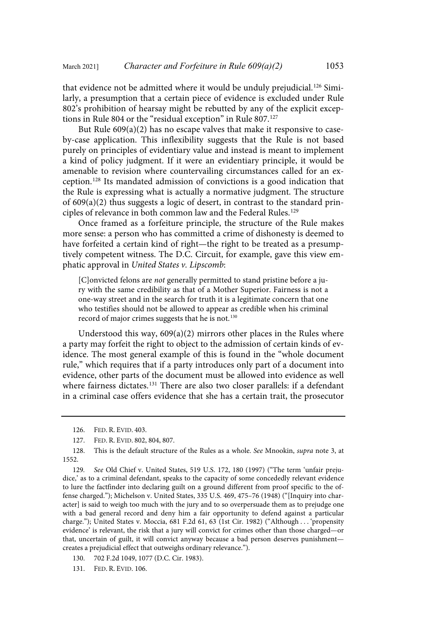that evidence not be admitted where it would be unduly prejudicial.<sup>126</sup> Similarly, a presumption that a certain piece of evidence is excluded under Rule 802's prohibition of hearsay might be rebutted by any of the explicit exceptions in Rule 804 or the "residual exception" in Rule 807.<sup>127</sup>

But Rule 609(a)(2) has no escape valves that make it responsive to caseby-case application. This inflexibility suggests that the Rule is not based purely on principles of evidentiary value and instead is meant to implement a kind of policy judgment. If it were an evidentiary principle, it would be amenable to revision where countervailing circumstances called for an exception.<sup>128</sup> Its mandated admission of convictions is a good indication that the Rule is expressing what is actually a normative judgment. The structure of 609(a)(2) thus suggests a logic of desert, in contrast to the standard principles of relevance in both common law and the Federal Rules.<sup>129</sup>

Once framed as a forfeiture principle, the structure of the Rule makes more sense: a person who has committed a crime of dishonesty is deemed to have forfeited a certain kind of right—the right to be treated as a presumptively competent witness. The D.C. Circuit, for example, gave this view emphatic approval in United States v. Lipscomb:

[C]onvicted felons are not generally permitted to stand pristine before a jury with the same credibility as that of a Mother Superior. Fairness is not a one-way street and in the search for truth it is a legitimate concern that one who testifies should not be allowed to appear as credible when his criminal record of major crimes suggests that he is not.<sup>130</sup>

Understood this way,  $609(a)(2)$  mirrors other places in the Rules where a party may forfeit the right to object to the admission of certain kinds of evidence. The most general example of this is found in the "whole document rule," which requires that if a party introduces only part of a document into evidence, other parts of the document must be allowed into evidence as well where fairness dictates.<sup>131</sup> There are also two closer parallels: if a defendant in a criminal case offers evidence that she has a certain trait, the prosecutor

- 130. 702 F.2d 1049, 1077 (D.C. Cir. 1983).
- 131. FED. R. EVID. 106.

<sup>126.</sup> FED. R. EVID. 403.

<sup>127.</sup> FED. R. EVID. 802, 804, 807.

<sup>128.</sup> This is the default structure of the Rules as a whole. See Mnookin, supra note 3, at 1552.

<sup>129</sup>. See Old Chief v. United States, 519 U.S. 172, 180 (1997) ("The term 'unfair prejudice,' as to a criminal defendant, speaks to the capacity of some concededly relevant evidence to lure the factfinder into declaring guilt on a ground different from proof specific to the offense charged."); Michelson v. United States, 335 U.S. 469, 475–76 (1948) ("[Inquiry into character] is said to weigh too much with the jury and to so overpersuade them as to prejudge one with a bad general record and deny him a fair opportunity to defend against a particular charge."); United States v. Moccia, 681 F.2d 61, 63 (1st Cir. 1982) ("Although . . . 'propensity evidence' is relevant, the risk that a jury will convict for crimes other than those charged—or that, uncertain of guilt, it will convict anyway because a bad person deserves punishment creates a prejudicial effect that outweighs ordinary relevance.").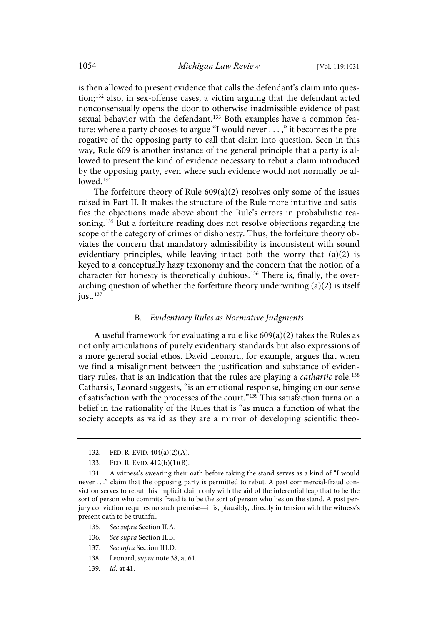is then allowed to present evidence that calls the defendant's claim into question; <sup>132</sup> also, in sex-offense cases, a victim arguing that the defendant acted nonconsensually opens the door to otherwise inadmissible evidence of past sexual behavior with the defendant.<sup>133</sup> Both examples have a common feature: where a party chooses to argue "I would never . . . ," it becomes the prerogative of the opposing party to call that claim into question. Seen in this way, Rule 609 is another instance of the general principle that a party is allowed to present the kind of evidence necessary to rebut a claim introduced by the opposing party, even where such evidence would not normally be al $lowed$ <sup>134</sup>

The forfeiture theory of Rule  $609(a)(2)$  resolves only some of the issues raised in Part II. It makes the structure of the Rule more intuitive and satisfies the objections made above about the Rule's errors in probabilistic reasoning.<sup>135</sup> But a forfeiture reading does not resolve objections regarding the scope of the category of crimes of dishonesty. Thus, the forfeiture theory obviates the concern that mandatory admissibility is inconsistent with sound evidentiary principles, while leaving intact both the worry that (a)(2) is keyed to a conceptually hazy taxonomy and the concern that the notion of a character for honesty is theoretically dubious.<sup>136</sup> There is, finally, the overarching question of whether the forfeiture theory underwriting (a)(2) is itself just.<sup>137</sup>

#### B. Evidentiary Rules as Normative Judgments

A useful framework for evaluating a rule like 609(a)(2) takes the Rules as not only articulations of purely evidentiary standards but also expressions of a more general social ethos. David Leonard, for example, argues that when we find a misalignment between the justification and substance of evidentiary rules, that is an indication that the rules are playing a *cathartic* role.<sup>138</sup> Catharsis, Leonard suggests, "is an emotional response, hinging on our sense of satisfaction with the processes of the court."<sup>139</sup> This satisfaction turns on a belief in the rationality of the Rules that is "as much a function of what the society accepts as valid as they are a mirror of developing scientific theo-

- 135. See supra Section II.A.
- 136. See supra Section II.B.
- 137. See infra Section III.D.
- 138. Leonard, supra note 38, at 61.
- 139. Id. at 41.

<sup>132.</sup> FED. R. EVID. 404(a)(2)(A).

<sup>133.</sup> FED. R. EVID. 412(b)(1)(B).

<sup>134.</sup> A witness's swearing their oath before taking the stand serves as a kind of "I would never . . ." claim that the opposing party is permitted to rebut. A past commercial-fraud conviction serves to rebut this implicit claim only with the aid of the inferential leap that to be the sort of person who commits fraud is to be the sort of person who lies on the stand. A past perjury conviction requires no such premise—it is, plausibly, directly in tension with the witness's present oath to be truthful.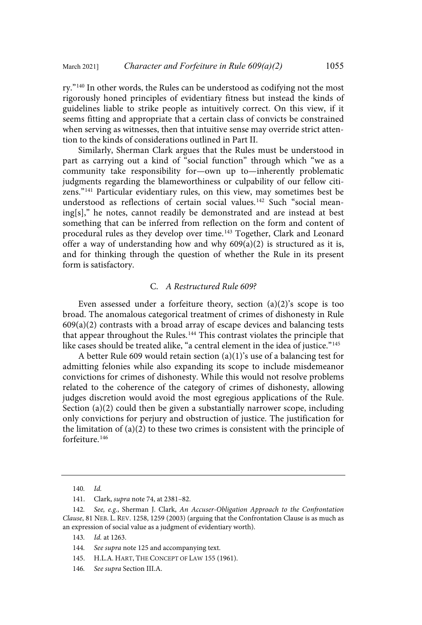ry."<sup>140</sup> In other words, the Rules can be understood as codifying not the most rigorously honed principles of evidentiary fitness but instead the kinds of guidelines liable to strike people as intuitively correct. On this view, if it seems fitting and appropriate that a certain class of convicts be constrained when serving as witnesses, then that intuitive sense may override strict attention to the kinds of considerations outlined in Part II.

Similarly, Sherman Clark argues that the Rules must be understood in part as carrying out a kind of "social function" through which "we as a community take responsibility for—own up to—inherently problematic judgments regarding the blameworthiness or culpability of our fellow citizens."<sup>141</sup> Particular evidentiary rules, on this view, may sometimes best be understood as reflections of certain social values.<sup>142</sup> Such "social meaning[s]," he notes, cannot readily be demonstrated and are instead at best something that can be inferred from reflection on the form and content of procedural rules as they develop over time.<sup>143</sup> Together, Clark and Leonard offer a way of understanding how and why  $609(a)(2)$  is structured as it is, and for thinking through the question of whether the Rule in its present form is satisfactory.

#### C. A Restructured Rule 609?

Even assessed under a forfeiture theory, section (a)(2)'s scope is too broad. The anomalous categorical treatment of crimes of dishonesty in Rule  $609(a)(2)$  contrasts with a broad array of escape devices and balancing tests that appear throughout the Rules.<sup>144</sup> This contrast violates the principle that like cases should be treated alike, "a central element in the idea of justice." 145

A better Rule 609 would retain section (a)(1)'s use of a balancing test for admitting felonies while also expanding its scope to include misdemeanor convictions for crimes of dishonesty. While this would not resolve problems related to the coherence of the category of crimes of dishonesty, allowing judges discretion would avoid the most egregious applications of the Rule. Section (a)(2) could then be given a substantially narrower scope, including only convictions for perjury and obstruction of justice. The justification for the limitation of (a)(2) to these two crimes is consistent with the principle of forfeiture<sup>146</sup>

146. See supra Section III.A.

<sup>140</sup>. Id.

<sup>141.</sup> Clark, supra note 74, at 2381–82.

<sup>142</sup>. See, e.g., Sherman J. Clark, An Accuser-Obligation Approach to the Confrontation Clause, 81 NEB. L. REV. 1258, 1259 (2003) (arguing that the Confrontation Clause is as much as an expression of social value as a judgment of evidentiary worth).

<sup>143</sup>. Id. at 1263.

<sup>144.</sup> See supra note 125 and accompanying text.

<sup>145.</sup> H.L.A. HART, THE CONCEPT OF LAW 155 (1961).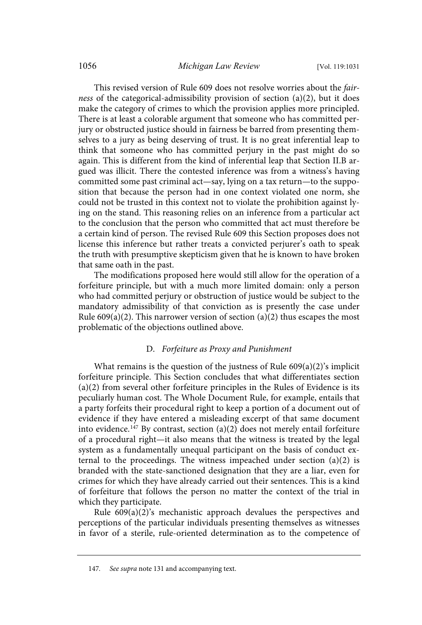This revised version of Rule 609 does not resolve worries about the fairness of the categorical-admissibility provision of section (a)(2), but it does make the category of crimes to which the provision applies more principled. There is at least a colorable argument that someone who has committed perjury or obstructed justice should in fairness be barred from presenting themselves to a jury as being deserving of trust. It is no great inferential leap to think that someone who has committed perjury in the past might do so again. This is different from the kind of inferential leap that Section II.B argued was illicit. There the contested inference was from a witness's having committed some past criminal act—say, lying on a tax return—to the supposition that because the person had in one context violated one norm, she could not be trusted in this context not to violate the prohibition against lying on the stand. This reasoning relies on an inference from a particular act to the conclusion that the person who committed that act must therefore be a certain kind of person. The revised Rule 609 this Section proposes does not license this inference but rather treats a convicted perjurer's oath to speak the truth with presumptive skepticism given that he is known to have broken that same oath in the past.

The modifications proposed here would still allow for the operation of a forfeiture principle, but with a much more limited domain: only a person who had committed perjury or obstruction of justice would be subject to the mandatory admissibility of that conviction as is presently the case under Rule  $609(a)(2)$ . This narrower version of section  $(a)(2)$  thus escapes the most problematic of the objections outlined above.

#### D. Forfeiture as Proxy and Punishment

What remains is the question of the justness of Rule 609(a)(2)'s implicit forfeiture principle. This Section concludes that what differentiates section (a)(2) from several other forfeiture principles in the Rules of Evidence is its peculiarly human cost. The Whole Document Rule, for example, entails that a party forfeits their procedural right to keep a portion of a document out of evidence if they have entered a misleading excerpt of that same document into evidence. <sup>147</sup> By contrast, section (a)(2) does not merely entail forfeiture of a procedural right—it also means that the witness is treated by the legal system as a fundamentally unequal participant on the basis of conduct external to the proceedings. The witness impeached under section  $(a)(2)$  is branded with the state-sanctioned designation that they are a liar, even for crimes for which they have already carried out their sentences. This is a kind of forfeiture that follows the person no matter the context of the trial in which they participate.

Rule 609(a)(2)'s mechanistic approach devalues the perspectives and perceptions of the particular individuals presenting themselves as witnesses in favor of a sterile, rule-oriented determination as to the competence of

<sup>147</sup>. See supra note 131 and accompanying text.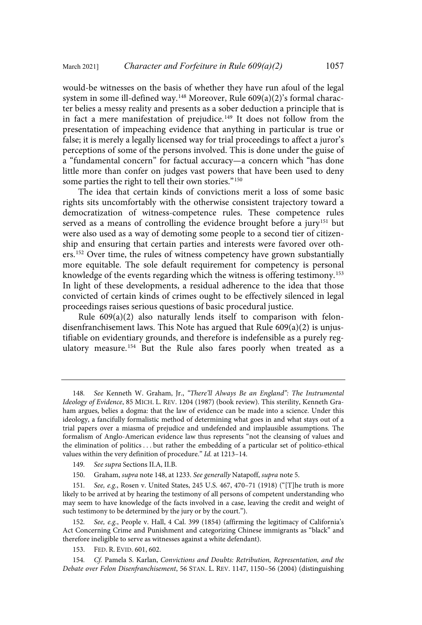would-be witnesses on the basis of whether they have run afoul of the legal system in some ill-defined way.<sup>148</sup> Moreover, Rule 609(a)(2)'s formal character belies a messy reality and presents as a sober deduction a principle that is in fact a mere manifestation of prejudice.<sup>149</sup> It does not follow from the presentation of impeaching evidence that anything in particular is true or false; it is merely a legally licensed way for trial proceedings to affect a juror's perceptions of some of the persons involved. This is done under the guise of a "fundamental concern" for factual accuracy—a concern which "has done little more than confer on judges vast powers that have been used to deny some parties the right to tell their own stories."<sup>150</sup>

The idea that certain kinds of convictions merit a loss of some basic rights sits uncomfortably with the otherwise consistent trajectory toward a democratization of witness-competence rules. These competence rules served as a means of controlling the evidence brought before a jury<sup>151</sup> but were also used as a way of demoting some people to a second tier of citizenship and ensuring that certain parties and interests were favored over others.<sup>152</sup> Over time, the rules of witness competency have grown substantially more equitable. The sole default requirement for competency is personal knowledge of the events regarding which the witness is offering testimony.<sup>153</sup> In light of these developments, a residual adherence to the idea that those convicted of certain kinds of crimes ought to be effectively silenced in legal proceedings raises serious questions of basic procedural justice.

Rule 609(a)(2) also naturally lends itself to comparison with felondisenfranchisement laws. This Note has argued that Rule 609(a)(2) is unjustifiable on evidentiary grounds, and therefore is indefensible as a purely regulatory measure. <sup>154</sup> But the Rule also fares poorly when treated as a

<sup>148</sup>. See Kenneth W. Graham, Jr., "There'll Always Be an England": The Instrumental Ideology of Evidence, 85 MICH. L. REV. 1204 (1987) (book review). This sterility, Kenneth Graham argues, belies a dogma: that the law of evidence can be made into a science. Under this ideology, a fancifully formalistic method of determining what goes in and what stays out of a trial papers over a miasma of prejudice and undefended and implausible assumptions. The formalism of Anglo-American evidence law thus represents "not the cleansing of values and the elimination of politics . . . but rather the embedding of a particular set of politico-ethical values within the very definition of procedure." Id. at 1213–14.

<sup>149</sup>. See supra Sections II.A, II.B.

<sup>150.</sup> Graham, supra note 148, at 1233. See generally Natapoff, supra note 5.

<sup>151</sup>. See, e.g., Rosen v. United States, 245 U.S. 467, 470–71 (1918) ("[T]he truth is more likely to be arrived at by hearing the testimony of all persons of competent understanding who may seem to have knowledge of the facts involved in a case, leaving the credit and weight of such testimony to be determined by the jury or by the court.").

<sup>152</sup>. See, e.g., People v. Hall, 4 Cal. 399 (1854) (affirming the legitimacy of California's Act Concerning Crime and Punishment and categorizing Chinese immigrants as "black" and therefore ineligible to serve as witnesses against a white defendant).

<sup>153.</sup> FED. R. EVID. 601, 602.

<sup>154</sup>. Cf. Pamela S. Karlan, Convictions and Doubts: Retribution, Representation, and the Debate over Felon Disenfranchisement, 56 STAN. L. REV. 1147, 1150–56 (2004) (distinguishing